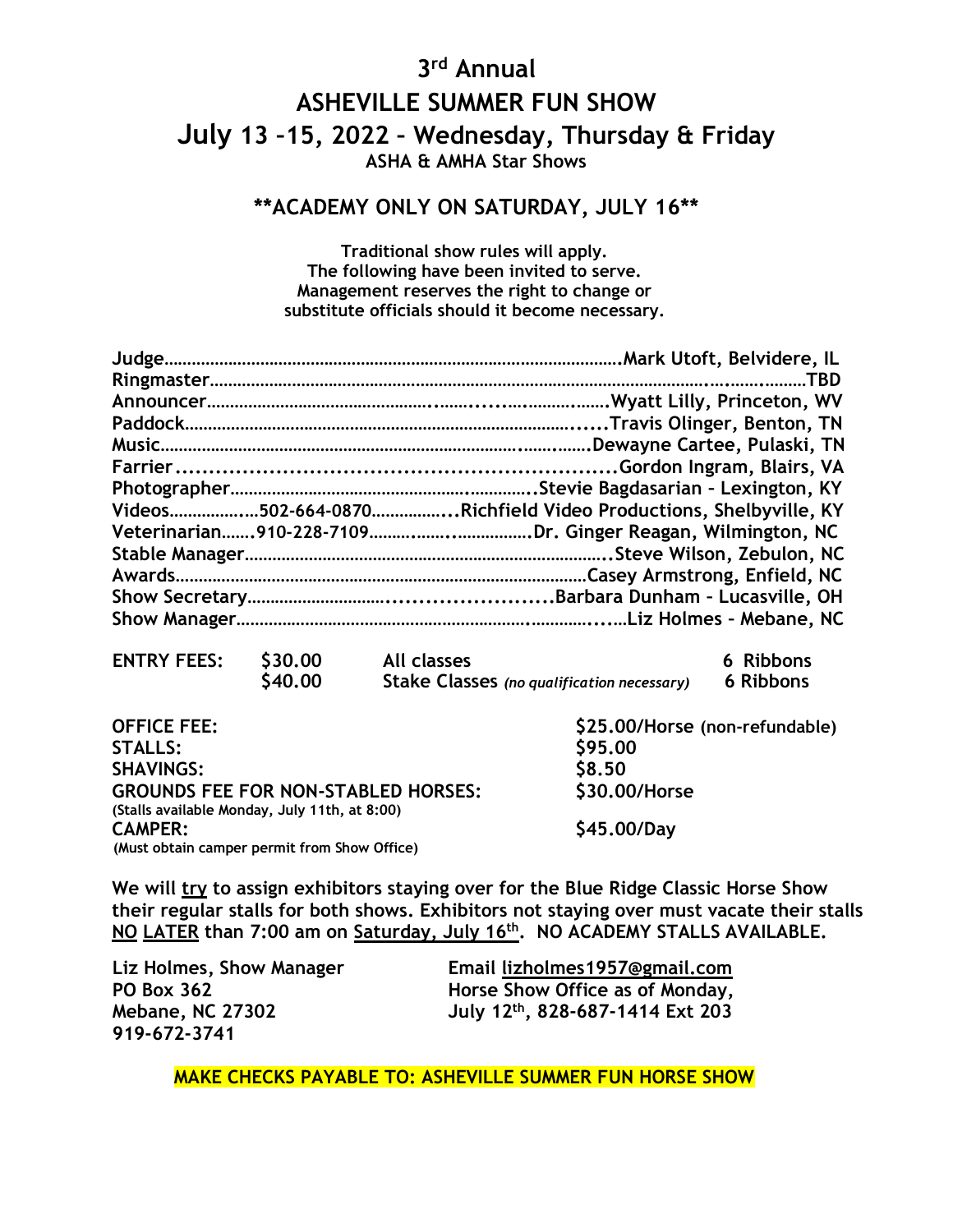## **3 rd Annual ASHEVILLE SUMMER FUN SHOW July 13 –15, 2022 – Wednesday, Thursday & Friday ASHA & AMHA Star Shows**

## **\*\*ACADEMY ONLY ON SATURDAY, JULY 16\*\***

**Traditional show rules will apply. The following have been invited to serve. Management reserves the right to change or substitute officials should it become necessary.**

| Videos502-664-0870Richfield Video Productions, Shelbyville, KY |
|----------------------------------------------------------------|
|                                                                |
|                                                                |
|                                                                |
|                                                                |
|                                                                |
|                                                                |

| <b>ENTRY FEES:</b> | \$30.00       | All classes                                       | 6 Ribbons |
|--------------------|---------------|---------------------------------------------------|-----------|
|                    | <b>S40.00</b> | <b>Stake Classes</b> (no qualification necessary) | 6 Ribbons |

| <b>OFFICE FEE:</b>                            | \$25.00/Horse (non-refundable) |
|-----------------------------------------------|--------------------------------|
| <b>STALLS:</b>                                | \$95.00                        |
| <b>SHAVINGS:</b>                              | \$8.50                         |
| <b>GROUNDS FEE FOR NON-STABLED HORSES:</b>    | \$30,00/Horse                  |
| (Stalls available Monday, July 11th, at 8:00) |                                |
| <b>CAMPER:</b>                                | \$45.00/Day                    |
| (Must obtain camper permit from Show Office)  |                                |

**We will try to assign exhibitors staying over for the Blue Ridge Classic Horse Show their regular stalls for both shows. Exhibitors not staying over must vacate their stalls NO LATER than 7:00 am on Saturday, July 16 th . NO ACADEMY STALLS AVAILABLE.**

**Liz Holmes, Show Manager Email [lizholmes1957@gmail.com](mailto:lizholmes1957@gmail.com) Horse Show Office as of Monday, Mebane, NC 27302 July 12 th , 828-687-1414 Ext 203**

 **MAKE CHECKS PAYABLE TO: ASHEVILLE SUMMER FUN HORSE SHOW**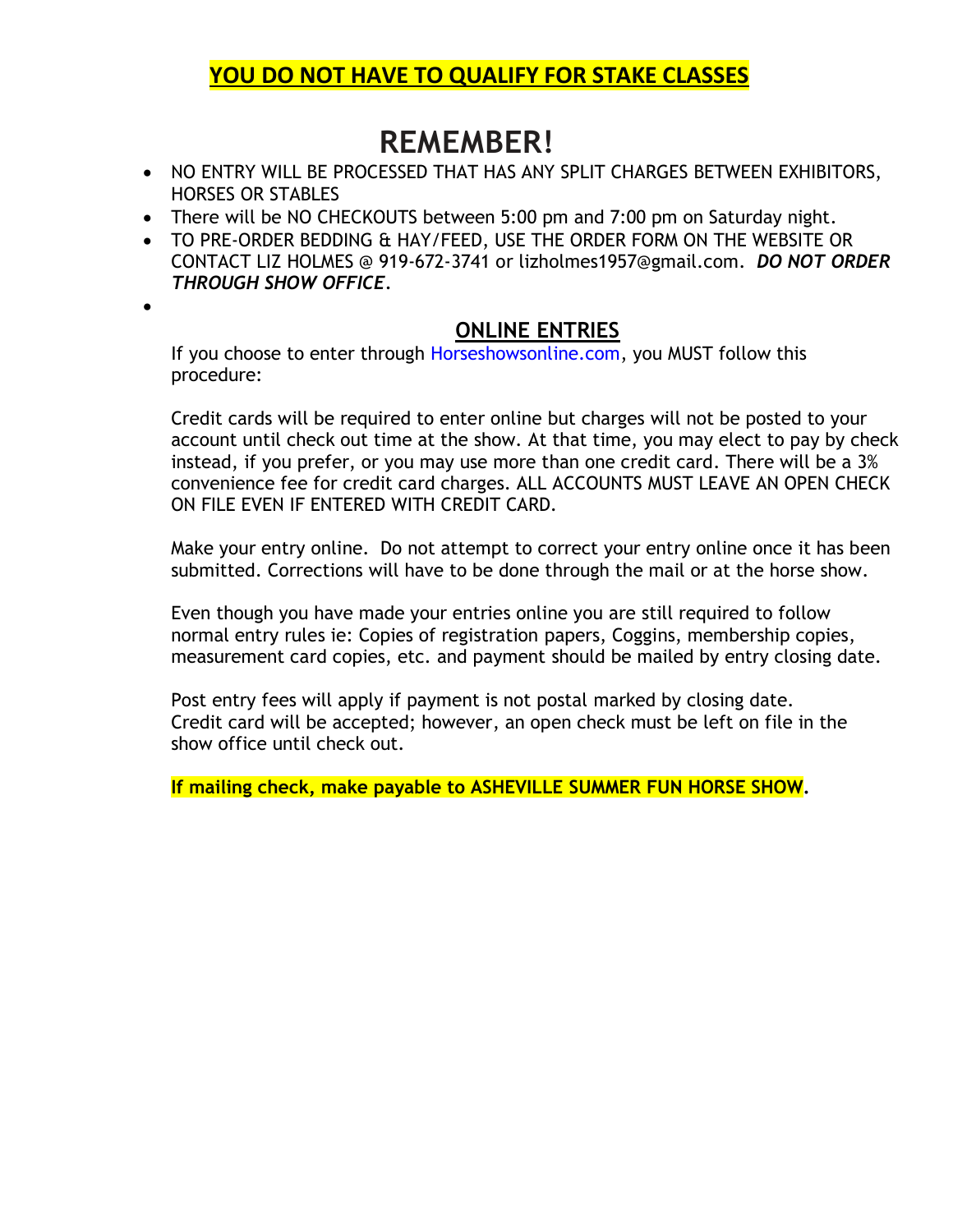## **YOU DO NOT HAVE TO QUALIFY FOR STAKE CLASSES**

## **REMEMBER!**

- NO ENTRY WILL BE PROCESSED THAT HAS ANY SPLIT CHARGES BETWEEN EXHIBITORS, HORSES OR STABLES
- There will be NO CHECKOUTS between 5:00 pm and 7:00 pm on Saturday night.
- TO PRE-ORDER BEDDING & HAY/FEED, USE THE ORDER FORM ON THE WEBSITE OR CONTACT LIZ HOLMES @ 919-672-3741 or lizholmes1957@gmail.com. *DO NOT ORDER THROUGH SHOW OFFICE.*
- •

### **ONLINE ENTRIES**

If you choose to enter through Horseshowsonline.com, you MUST follow this procedure:

Credit cards will be required to enter online but charges will not be posted to your account until check out time at the show. At that time, you may elect to pay by check instead, if you prefer, or you may use more than one credit card. There will be a 3% convenience fee for credit card charges. ALL ACCOUNTS MUST LEAVE AN OPEN CHECK ON FILE EVEN IF ENTERED WITH CREDIT CARD.

Make your entry online. Do not attempt to correct your entry online once it has been submitted. Corrections will have to be done through the mail or at the horse show.

Even though you have made your entries online you are still required to follow normal entry rules ie: Copies of registration papers, Coggins, membership copies, measurement card copies, etc. and payment should be mailed by entry closing date.

Post entry fees will apply if payment is not postal marked by closing date. Credit card will be accepted; however, an open check must be left on file in the show office until check out.

**If mailing check, make payable to ASHEVILLE SUMMER FUN HORSE SHOW.**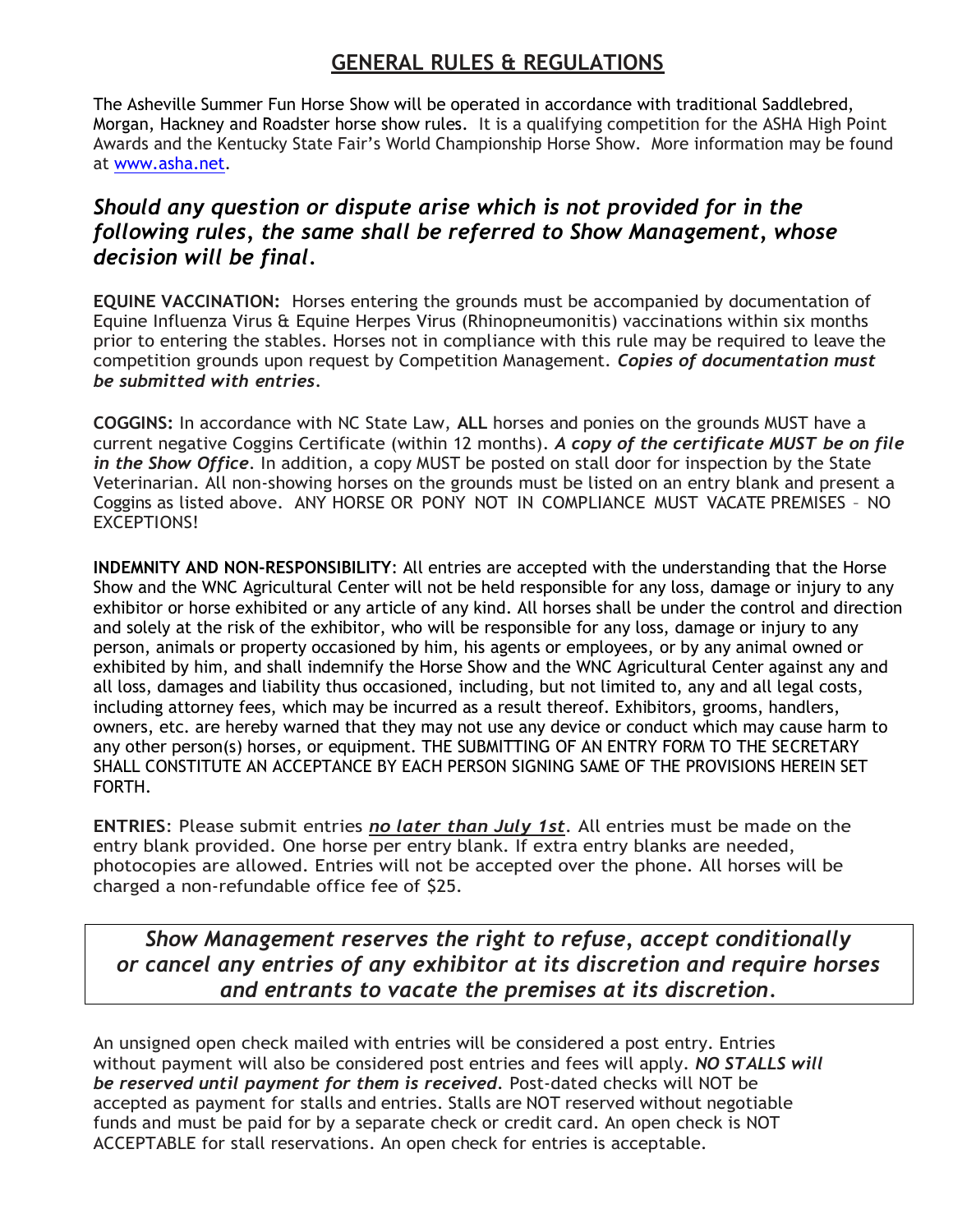## **GENERAL RULES & REGULATIONS**

The Asheville Summer Fun Horse Show will be operated in accordance with traditional Saddlebred, Morgan, Hackney and Roadster horse show rules. It is a qualifying competition for the ASHA High Point Awards and the Kentucky State Fair's World Championship Horse Show. More information may be found at [www.asha.net.](http://www.asha.net/)

## *Should any question or dispute arise which is not provided for in the following rules, the same shall be referred to Show Management, whose decision will be final.*

**EQUINE VACCINATION:** Horses entering the grounds must be accompanied by documentation of Equine Influenza Virus & Equine Herpes Virus (Rhinopneumonitis) vaccinations within six months prior to entering the stables. Horses not in compliance with this rule may be required to leave the competition grounds upon request by Competition Management. *Copies of documentation must be submitted with entries.*

**COGGINS:** In accordance with NC State Law, **ALL** horses and ponies on the grounds MUST have a current negative Coggins Certificate (within 12 months). *A copy of the certificate MUST be on file in the Show Office*. In addition, a copy MUST be posted on stall door for inspection by the State Veterinarian. All non-showing horses on the grounds must be listed on an entry blank and present a Coggins as listed above. ANY HORSE OR PONY NOT IN COMPLIANCE MUST VACATE PREMISES – NO EXCEPTIONS!

**INDEMNITY AND NON-RESPONSIBILITY**: All entries are accepted with the understanding that the Horse Show and the WNC Agricultural Center will not be held responsible for any loss, damage or injury to any exhibitor or horse exhibited or any article of any kind. All horses shall be under the control and direction and solely at the risk of the exhibitor, who will be responsible for any loss, damage or injury to any person, animals or property occasioned by him, his agents or employees, or by any animal owned or exhibited by him, and shall indemnify the Horse Show and the WNC Agricultural Center against any and all loss, damages and liability thus occasioned, including, but not limited to, any and all legal costs, including attorney fees, which may be incurred as a result thereof. Exhibitors, grooms, handlers, owners, etc. are hereby warned that they may not use any device or conduct which may cause harm to any other person(s) horses, or equipment. THE SUBMITTING OF AN ENTRY FORM TO THE SECRETARY SHALL CONSTITUTE AN ACCEPTANCE BY EACH PERSON SIGNING SAME OF THE PROVISIONS HEREIN SET FORTH.

**ENTRIES**: Please submit entries *no later than July 1st*. All entries must be made on the entry blank provided. One horse per entry blank. If extra entry blanks are needed, photocopies are allowed. Entries will not be accepted over the phone. All horses will be charged a non-refundable office fee of \$25.

*Show Management reserves the right to refuse, accept conditionally or cancel any entries of any exhibitor at its discretion and require horses and entrants to vacate the premises at its discretion.*

An unsigned open check mailed with entries will be considered a post entry. Entries without payment will also be considered post entries and fees will apply. *NO STALLS will be reserved until payment for them is received.* Post-dated checks will NOT be accepted as payment for stalls and entries. Stalls are NOT reserved without negotiable funds and must be paid for by a separate check or credit card. An open check is NOT ACCEPTABLE for stall reservations. An open check for entries is acceptable.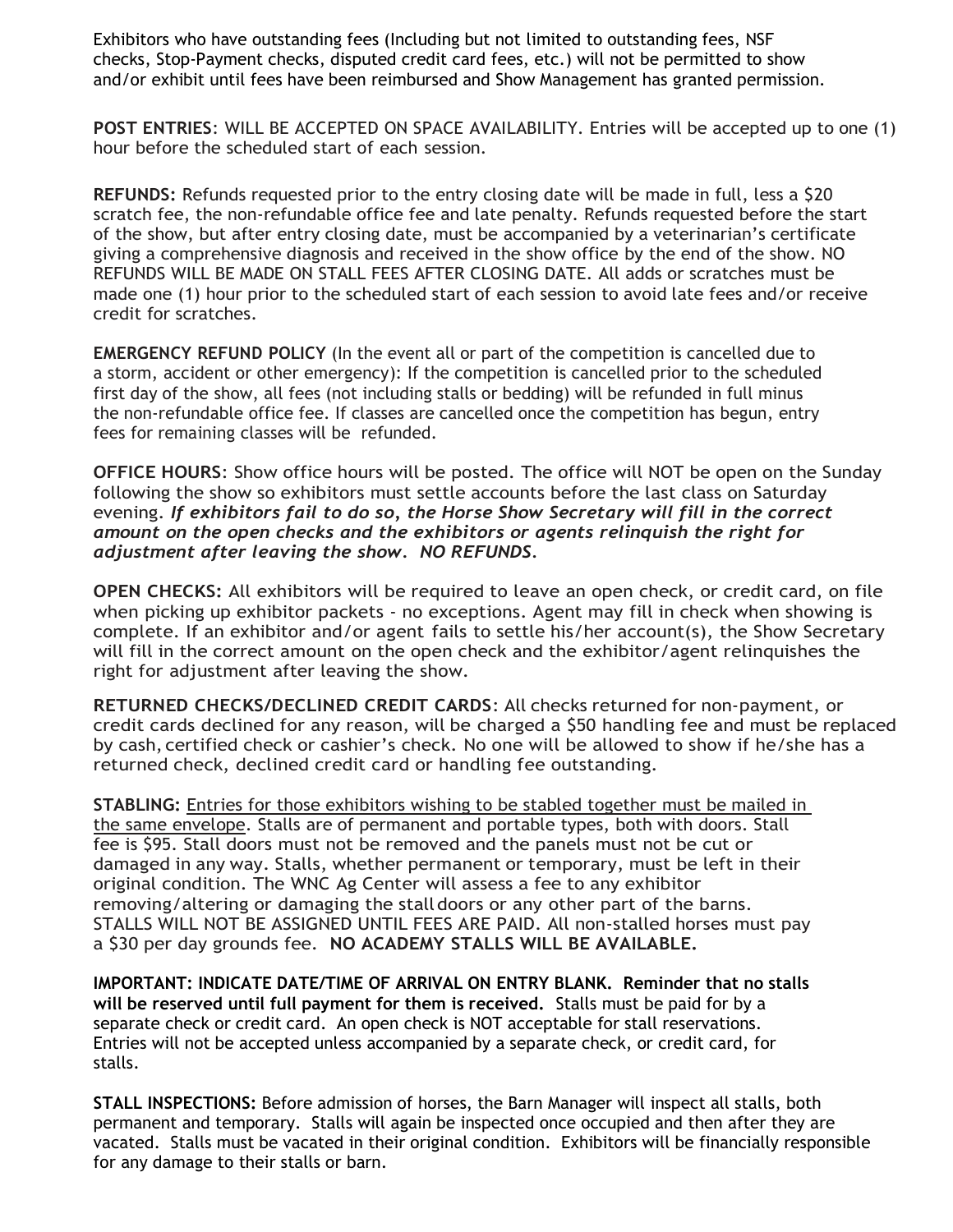Exhibitors who have outstanding fees (Including but not limited to outstanding fees, NSF checks, Stop-Payment checks, disputed credit card fees, etc.) will not be permitted to show and/or exhibit until fees have been reimbursed and Show Management has granted permission.

**POST ENTRIES**: WILL BE ACCEPTED ON SPACE AVAILABILITY. Entries will be accepted up to one (1) hour before the scheduled start of each session.

**REFUNDS:** Refunds requested prior to the entry closing date will be made in full, less a \$20 scratch fee, the non-refundable office fee and late penalty. Refunds requested before the start of the show, but after entry closing date, must be accompanied by a veterinarian's certificate giving a comprehensive diagnosis and received in the show office by the end of the show. NO REFUNDS WILL BE MADE ON STALL FEES AFTER CLOSING DATE. All adds or scratches must be made one (1) hour prior to the scheduled start of each session to avoid late fees and/or receive credit for scratches.

**EMERGENCY REFUND POLICY** (In the event all or part of the competition is cancelled due to a storm, accident or other emergency): If the competition is cancelled prior to the scheduled first day of the show, all fees (not including stalls or bedding) will be refunded in full minus the non-refundable office fee. If classes are cancelled once the competition has begun, entry fees for remaining classes will be refunded.

**OFFICE HOURS**: Show office hours will be posted. The office will NOT be open on the Sunday following the show so exhibitors must settle accounts before the last class on Saturday evening. *If exhibitors fail to do so, the Horse Show Secretary will fill in the correct amount on the open checks and the exhibitors or agents relinquish the right for adjustment after leaving the show. NO REFUNDS.*

**OPEN CHECKS:** All exhibitors will be required to leave an open check, or credit card, on file when picking up exhibitor packets - no exceptions. Agent may fill in check when showing is complete. If an exhibitor and/or agent fails to settle his/her account(s), the Show Secretary will fill in the correct amount on the open check and the exhibitor/agent relinquishes the right for adjustment after leaving the show.

**RETURNED CHECKS/DECLINED CREDIT CARDS**: All checks returned for non-payment, or credit cards declined for any reason, will be charged a \$50 handling fee and must be replaced by cash, certified check or cashier's check. No one will be allowed to show if he/she has a returned check, declined credit card or handling fee outstanding.

**STABLING:** Entries for those exhibitors wishing to be stabled together must be mailed in the same envelope. Stalls are of permanent and portable types, both with doors. Stall fee is \$95. Stall doors must not be removed and the panels must not be cut or damaged in any way. Stalls, whether permanent or temporary, must be left in their original condition. The WNC Ag Center will assess a fee to any exhibitor removing/altering or damaging the stall doors or any other part of the barns. STALLS WILL NOT BE ASSIGNED UNTIL FEES ARE PAID. All non-stalled horses must pay a \$30 per day grounds fee. **NO ACADEMY STALLS WILL BE AVAILABLE.**

**IMPORTANT: INDICATE DATE/TIME OF ARRIVAL ON ENTRY BLANK. Reminder that no stalls will be reserved until full payment for them is received.** Stalls must be paid for by a separate check or credit card. An open check is NOT acceptable for stall reservations. Entries will not be accepted unless accompanied by a separate check, or credit card, for stalls.

**STALL INSPECTIONS:** Before admission of horses, the Barn Manager will inspect all stalls, both permanent and temporary. Stalls will again be inspected once occupied and then after they are vacated. Stalls must be vacated in their original condition. Exhibitors will be financially responsible for any damage to their stalls or barn.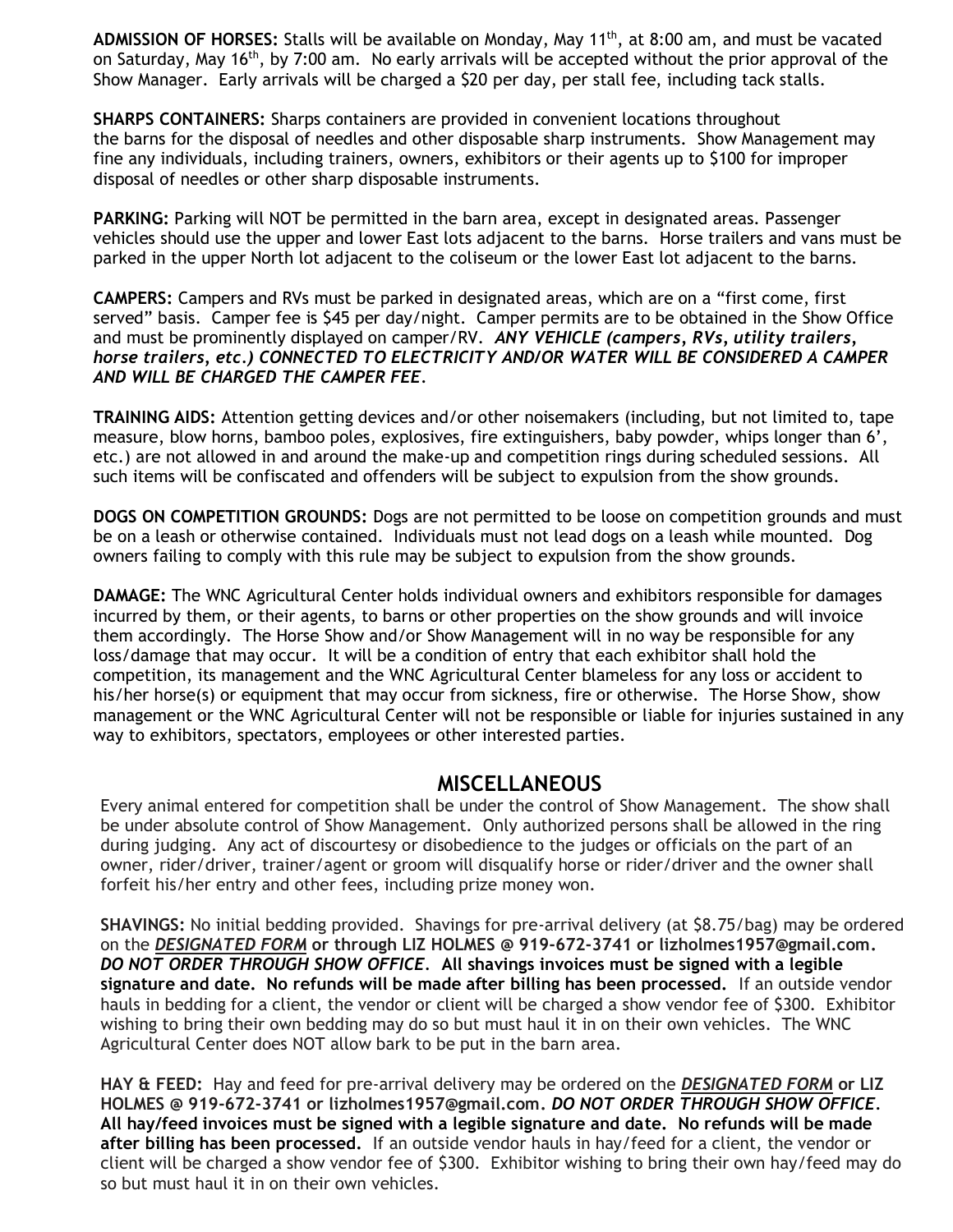ADMISSION OF HORSES: Stalls will be available on Monday, May 11<sup>th</sup>, at 8:00 am, and must be vacated on Saturday, May 16<sup>th</sup>, by 7:00 am. No early arrivals will be accepted without the prior approval of the Show Manager. Early arrivals will be charged a \$20 per day, per stall fee, including tack stalls.

**SHARPS CONTAINERS:** Sharps containers are provided in convenient locations throughout the barns for the disposal of needles and other disposable sharp instruments. Show Management may fine any individuals, including trainers, owners, exhibitors or their agents up to \$100 for improper disposal of needles or other sharp disposable instruments.

**PARKING:** Parking will NOT be permitted in the barn area, except in designated areas. Passenger vehicles should use the upper and lower East lots adjacent to the barns. Horse trailers and vans must be parked in the upper North lot adjacent to the coliseum or the lower East lot adjacent to the barns.

**CAMPERS:** Campers and RVs must be parked in designated areas, which are on a "first come, first served" basis. Camper fee is \$45 per day/night. Camper permits are to be obtained in the Show Office and must be prominently displayed on camper/RV. *ANY VEHICLE (campers, RVs, utility trailers, horse trailers, etc.) CONNECTED TO ELECTRICITY AND/OR WATER WILL BE CONSIDERED A CAMPER AND WILL BE CHARGED THE CAMPER FEE.*

**TRAINING AIDS:** Attention getting devices and/or other noisemakers (including, but not limited to, tape measure, blow horns, bamboo poles, explosives, fire extinguishers, baby powder, whips longer than 6', etc.) are not allowed in and around the make-up and competition rings during scheduled sessions. All such items will be confiscated and offenders will be subject to expulsion from the show grounds.

**DOGS ON COMPETITION GROUNDS:** Dogs are not permitted to be loose on competition grounds and must be on a leash or otherwise contained. Individuals must not lead dogs on a leash while mounted. Dog owners failing to comply with this rule may be subject to expulsion from the show grounds.

**DAMAGE:** The WNC Agricultural Center holds individual owners and exhibitors responsible for damages incurred by them, or their agents, to barns or other properties on the show grounds and will invoice them accordingly. The Horse Show and/or Show Management will in no way be responsible for any loss/damage that may occur. It will be a condition of entry that each exhibitor shall hold the competition, its management and the WNC Agricultural Center blameless for any loss or accident to his/her horse(s) or equipment that may occur from sickness, fire or otherwise. The Horse Show, show management or the WNC Agricultural Center will not be responsible or liable for injuries sustained in any way to exhibitors, spectators, employees or other interested parties.

### **MISCELLANEOUS**

Every animal entered for competition shall be under the control of Show Management. The show shall be under absolute control of Show Management. Only authorized persons shall be allowed in the ring during judging. Any act of discourtesy or disobedience to the judges or officials on the part of an owner, rider/driver, trainer/agent or groom will disqualify horse or rider/driver and the owner shall forfeit his/her entry and other fees, including prize money won.

**SHAVINGS:** No initial bedding provided. Shavings for pre-arrival delivery (at \$8.75/bag) may be ordered on the *DESIGNATED FORM* **or through LIZ HOLMES @ 919-672-3741 or lizholmes1957@gmail.com.** *DO NOT ORDER THROUGH SHOW OFFICE.* **All shavings invoices must be signed with a legible signature and date. No refunds will be made after billing has been processed.** If an outside vendor hauls in bedding for a client, the vendor or client will be charged a show vendor fee of \$300. Exhibitor wishing to bring their own bedding may do so but must haul it in on their own vehicles. The WNC Agricultural Center does NOT allow bark to be put in the barn area.

**HAY & FEED:** Hay and feed for pre-arrival delivery may be ordered on the *DESIGNATED FORM* **or LIZ HOLMES @ 919-672-3741 or lizholmes1957@gmail.com.** *DO NOT ORDER THROUGH SHOW OFFICE.*  **All hay/feed invoices must be signed with a legible signature and date. No refunds will be made after billing has been processed.** If an outside vendor hauls in hay/feed for a client, the vendor or client will be charged a show vendor fee of \$300. Exhibitor wishing to bring their own hay/feed may do so but must haul it in on their own vehicles.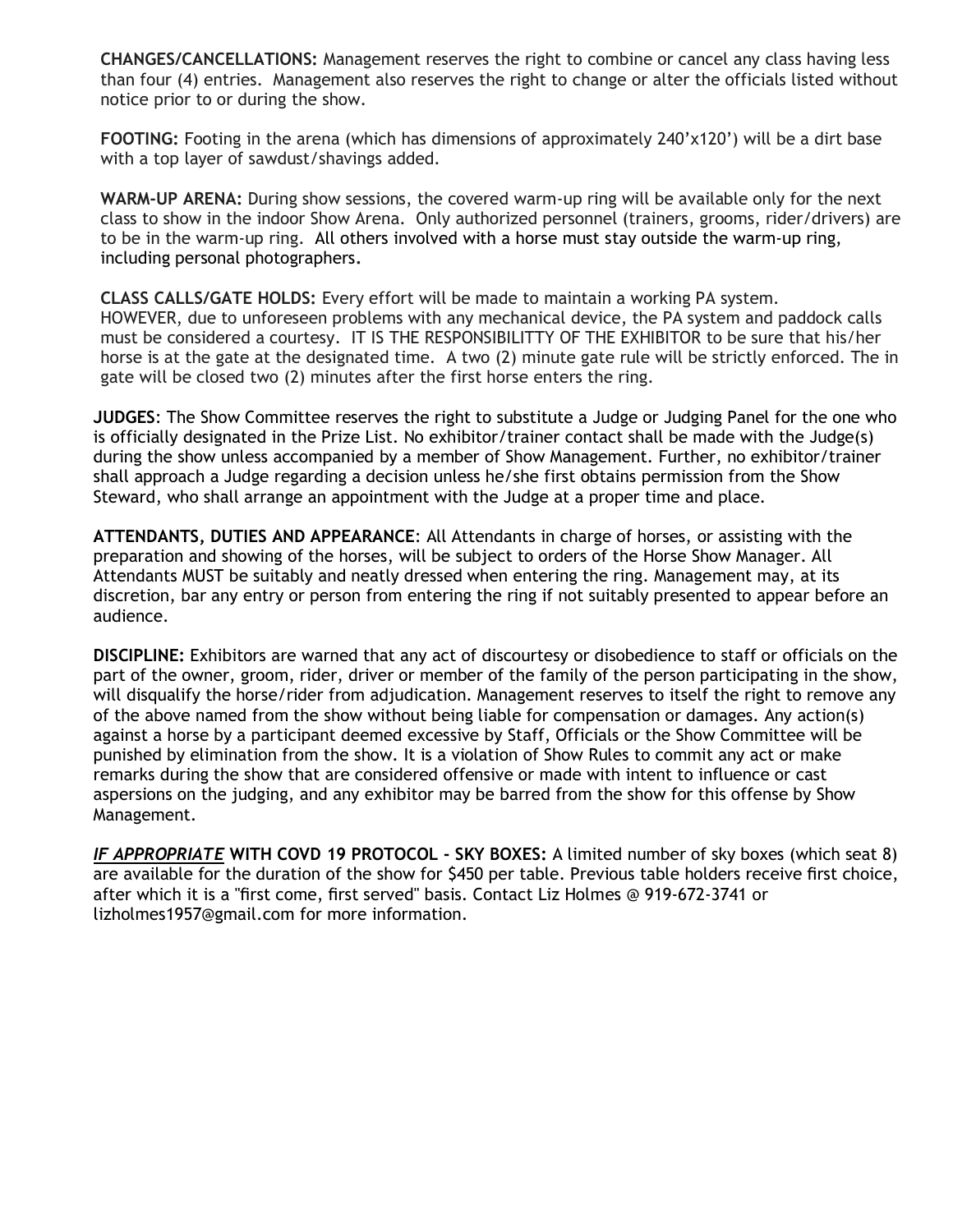**CHANGES/CANCELLATIONS:** Management reserves the right to combine or cancel any class having less than four (4) entries. Management also reserves the right to change or alter the officials listed without notice prior to or during the show.

**FOOTING:** Footing in the arena (which has dimensions of approximately 240'x120') will be a dirt base with a top layer of sawdust/shavings added.

**WARM-UP ARENA:** During show sessions, the covered warm-up ring will be available only for the next class to show in the indoor Show Arena. Only authorized personnel (trainers, grooms, rider/drivers) are to be in the warm-up ring. All others involved with a horse must stay outside the warm-up ring, including personal photographers**.**

**CLASS CALLS/GATE HOLDS:** Every effort will be made to maintain a working PA system. HOWEVER, due to unforeseen problems with any mechanical device, the PA system and paddock calls must be considered a courtesy. IT IS THE RESPONSIBILITTY OF THE EXHIBITOR to be sure that his/her horse is at the gate at the designated time. A two (2) minute gate rule will be strictly enforced. The in gate will be closed two (2) minutes after the first horse enters the ring.

**JUDGES**: The Show Committee reserves the right to substitute a Judge or Judging Panel for the one who is officially designated in the Prize List. No exhibitor/trainer contact shall be made with the Judge(s) during the show unless accompanied by a member of Show Management. Further, no exhibitor/trainer shall approach a Judge regarding a decision unless he/she first obtains permission from the Show Steward, who shall arrange an appointment with the Judge at a proper time and place.

**ATTENDANTS, DUTIES AND APPEARANCE**: All Attendants in charge of horses, or assisting with the preparation and showing of the horses, will be subject to orders of the Horse Show Manager. All Attendants MUST be suitably and neatly dressed when entering the ring. Management may, at its discretion, bar any entry or person from entering the ring if not suitably presented to appear before an audience.

**DISCIPLINE:** Exhibitors are warned that any act of discourtesy or disobedience to staff or officials on the part of the owner, groom, rider, driver or member of the family of the person participating in the show, will disqualify the horse/rider from adjudication. Management reserves to itself the right to remove any of the above named from the show without being liable for compensation or damages. Any action(s) against a horse by a participant deemed excessive by Staff, Officials or the Show Committee will be punished by elimination from the show. It is a violation of Show Rules to commit any act or make remarks during the show that are considered offensive or made with intent to influence or cast aspersions on the judging, and any exhibitor may be barred from the show for this offense by Show Management.

*IF APPROPRIATE* **WITH COVD 19 PROTOCOL - SKY BOXES:** A limited number of sky boxes (which seat 8) are available for the duration of the show for \$450 per table. Previous table holders receive first choice, after which it is a "first come, first served" basis. Contact Liz Holmes @ 919‐672‐3741 o[r](mailto:lizholmes1957@gmail.com) [lizholmes1957@gmail.com f](mailto:lizholmes1957@gmail.com)or more information.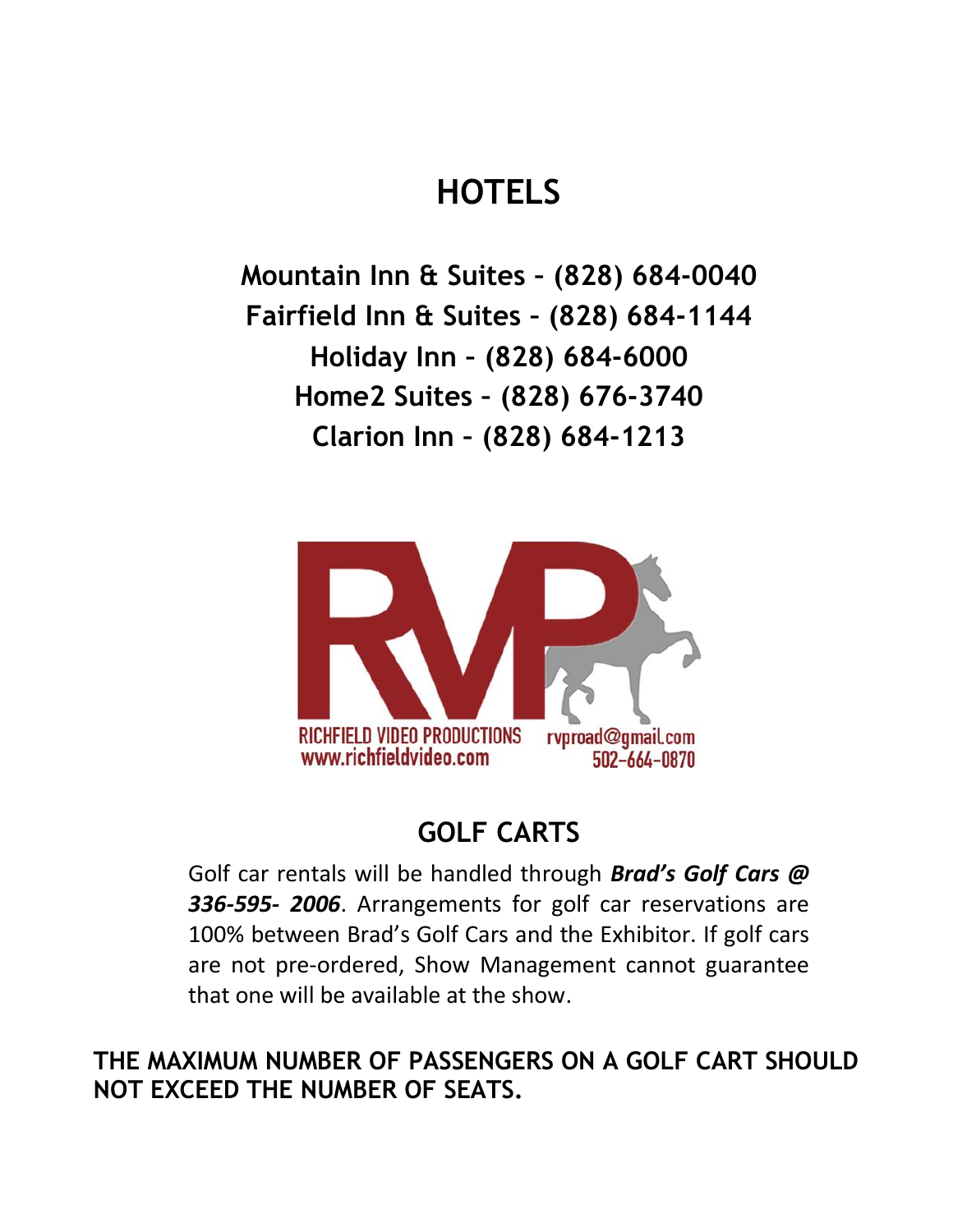# **HOTELS**

**Mountain Inn & Suites – (828) 684-0040 Fairfield Inn & Suites – (828) 684-1144 Holiday Inn – (828) 684-6000 Home2 Suites – (828) 676-3740 Clarion Inn – (828) 684-1213**



## **GOLF CARTS**

Golf car rentals will be handled through *Brad's Golf Cars @ 336‐595‐ 2006*. Arrangements for golf car reservations are 100% between Brad's Golf Cars and the Exhibitor. If golf cars are not pre‐ordered, Show Management cannot guarantee that one will be available at the show.

**THE MAXIMUM NUMBER OF PASSENGERS ON A GOLF CART SHOULD NOT EXCEED THE NUMBER OF SEATS.**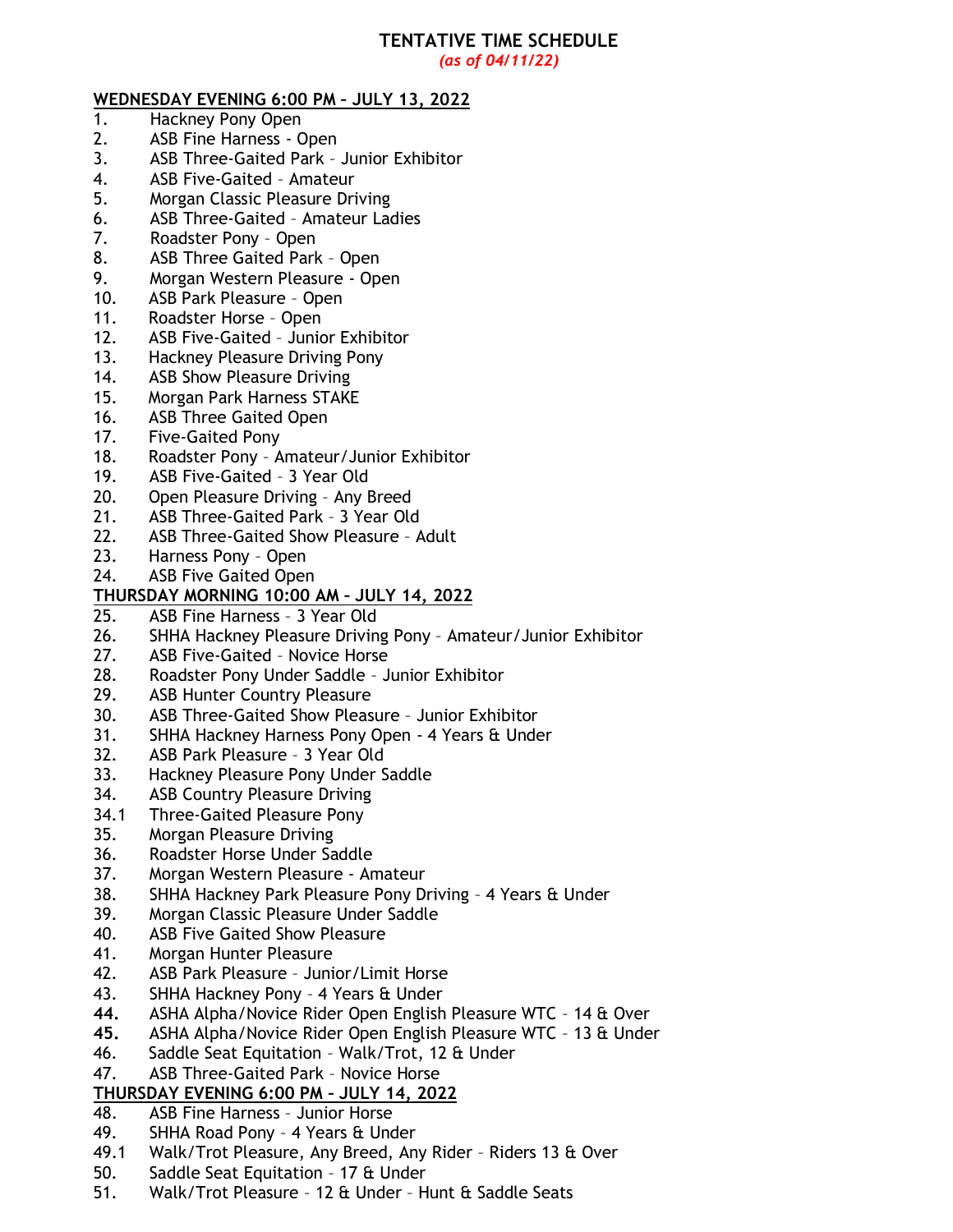## **TENTATIVE TIME SCHEDULE**

*(as of 04/11/22)*

#### **WEDNESDAY EVENING 6:00 PM – JULY 13, 2022**

- 1. Hackney Pony Open
- 2. ASB Fine Harness Open
- 3. ASB Three-Gaited Park Junior Exhibitor
- 4. ASB Five-Gaited Amateur
- 5. Morgan Classic Pleasure Driving
- 6. ASB Three-Gaited Amateur Ladies
- 7. Roadster Pony Open
- 8. ASB Three Gaited Park Open
- 9. Morgan Western Pleasure Open
- 10. ASB Park Pleasure Open
- 11. Roadster Horse Open
- 12. ASB Five-Gaited Junior Exhibitor
- 13. Hackney Pleasure Driving Pony
- 14. ASB Show Pleasure Driving
- 15. Morgan Park Harness STAKE
- 16. ASB Three Gaited Open
- 17. Five-Gaited Pony
- 18. Roadster Pony Amateur/Junior Exhibitor
- 19. ASB Five-Gaited 3 Year Old
- 20. Open Pleasure Driving Any Breed
- 21. ASB Three-Gaited Park 3 Year Old
- 22. ASB Three-Gaited Show Pleasure Adult
- 23. Harness Pony Open
- 24. ASB Five Gaited Open

# **THURSDAY MORNING 10:00 AM – JULY 14, 2022**

- ASB Fine Harness 3 Year Old
- 26. SHHA Hackney Pleasure Driving Pony Amateur/Junior Exhibitor
- 27. ASB Five-Gaited Novice Horse
- 28. Roadster Pony Under Saddle Junior Exhibitor
- 29. ASB Hunter Country Pleasure
- 30. ASB Three-Gaited Show Pleasure Junior Exhibitor
- 31. SHHA Hackney Harness Pony Open 4 Years & Under
- 32. ASB Park Pleasure 3 Year Old
- 33. Hackney Pleasure Pony Under Saddle
- 34. ASB Country Pleasure Driving
- 34.1 Three-Gaited Pleasure Pony
- 35. Morgan Pleasure Driving
- 36. Roadster Horse Under Saddle
- 37. Morgan Western Pleasure Amateur
- 38. SHHA Hackney Park Pleasure Pony Driving 4 Years & Under
- 39. Morgan Classic Pleasure Under Saddle
- 40. ASB Five Gaited Show Pleasure
- 41. Morgan Hunter Pleasure
- 42. ASB Park Pleasure Junior/Limit Horse
- 43. SHHA Hackney Pony 4 Years & Under
- **44.** ASHA Alpha/Novice Rider Open English Pleasure WTC 14 & Over
- **45.** ASHA Alpha/Novice Rider Open English Pleasure WTC 13 & Under
- 46. Saddle Seat Equitation Walk/Trot, 12 & Under
- 47. ASB Three-Gaited Park Novice Horse

#### **THURSDAY EVENING 6:00 PM – JULY 14, 2022**

- 48. ASB Fine Harness Junior Horse
- 49. SHHA Road Pony 4 Years & Under
- 49.1 Walk/Trot Pleasure, Any Breed, Any Rider Riders 13 & Over
- 50. Saddle Seat Equitation 17 & Under
- 51. Walk/Trot Pleasure 12 & Under Hunt & Saddle Seats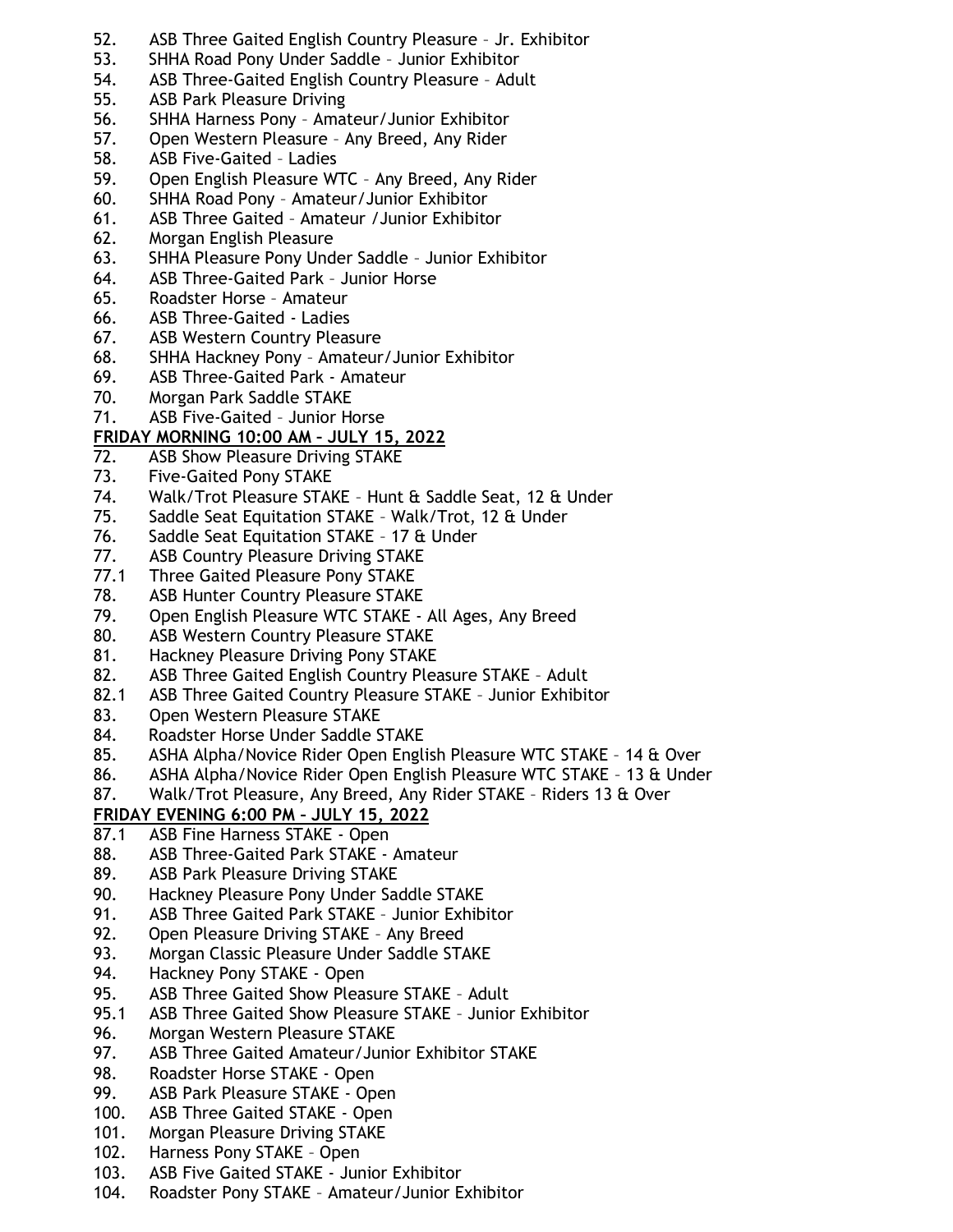- 52. ASB Three Gaited English Country Pleasure Jr. Exhibitor
- 53. SHHA Road Pony Under Saddle Junior Exhibitor
- 54. ASB Three-Gaited English Country Pleasure Adult
- 55. ASB Park Pleasure Driving
- 56. SHHA Harness Pony Amateur/Junior Exhibitor
- 57. Open Western Pleasure Any Breed, Any Rider
- 58. ASB Five-Gaited Ladies
- 59. Open English Pleasure WTC Any Breed, Any Rider
- 60. SHHA Road Pony Amateur/Junior Exhibitor
- 61. ASB Three Gaited Amateur /Junior Exhibitor
- 62. Morgan English Pleasure
- 63. SHHA Pleasure Pony Under Saddle Junior Exhibitor
- 64. ASB Three-Gaited Park Junior Horse
- 65. Roadster Horse Amateur
- 66. ASB Three-Gaited Ladies
- 67. ASB Western Country Pleasure
- 68. SHHA Hackney Pony Amateur/Junior Exhibitor
- 69. ASB Three-Gaited Park Amateur
- 70. Morgan Park Saddle STAKE
- 71. ASB Five-Gaited Junior Horse

#### **FRIDAY MORNING 10:00 AM – JULY 15, 2022**

- 72. ASB Show Pleasure Driving STAKE
- 73. Five-Gaited Pony STAKE
- 74. Walk/Trot Pleasure STAKE Hunt & Saddle Seat, 12 & Under
- 75. Saddle Seat Equitation STAKE Walk/Trot, 12 & Under
- 76. Saddle Seat Equitation STAKE 17 & Under
- 77. ASB Country Pleasure Driving STAKE
- 77.1 Three Gaited Pleasure Pony STAKE
- 78. ASB Hunter Country Pleasure STAKE
- 79. Open English Pleasure WTC STAKE All Ages, Any Breed
- 80. ASB Western Country Pleasure STAKE
- 81. Hackney Pleasure Driving Pony STAKE
- 82. ASB Three Gaited English Country Pleasure STAKE Adult
- 82.1 ASB Three Gaited Country Pleasure STAKE Junior Exhibitor
- 83. Open Western Pleasure STAKE
- 84. Roadster Horse Under Saddle STAKE<br>85. ASHA Alpha/Novice Rider Open Engl
- ASHA Alpha/Novice Rider Open English Pleasure WTC STAKE 14 & Over
- 86. ASHA Alpha/Novice Rider Open English Pleasure WTC STAKE 13 & Under
- 87. Walk/Trot Pleasure, Any Breed, Any Rider STAKE Riders 13 & Over

#### **FRIDAY EVENING 6:00 PM – JULY 15, 2022**

- 87.1 ASB Fine Harness STAKE Open
- 88. ASB Three-Gaited Park STAKE Amateur
- 89. ASB Park Pleasure Driving STAKE
- 90. Hackney Pleasure Pony Under Saddle STAKE
- 91. ASB Three Gaited Park STAKE Junior Exhibitor
- 92. Open Pleasure Driving STAKE Any Breed
- 93. Morgan Classic Pleasure Under Saddle STAKE
- 94. Hackney Pony STAKE Open
- 95. ASB Three Gaited Show Pleasure STAKE Adult
- 95.1 ASB Three Gaited Show Pleasure STAKE Junior Exhibitor
- 96. Morgan Western Pleasure STAKE
- 97. ASB Three Gaited Amateur/Junior Exhibitor STAKE
- 98. Roadster Horse STAKE Open
- 99. ASB Park Pleasure STAKE Open
- 100. ASB Three Gaited STAKE Open
- 101. Morgan Pleasure Driving STAKE
- 102. Harness Pony STAKE Open
- 103. ASB Five Gaited STAKE Junior Exhibitor
- 104. Roadster Pony STAKE Amateur/Junior Exhibitor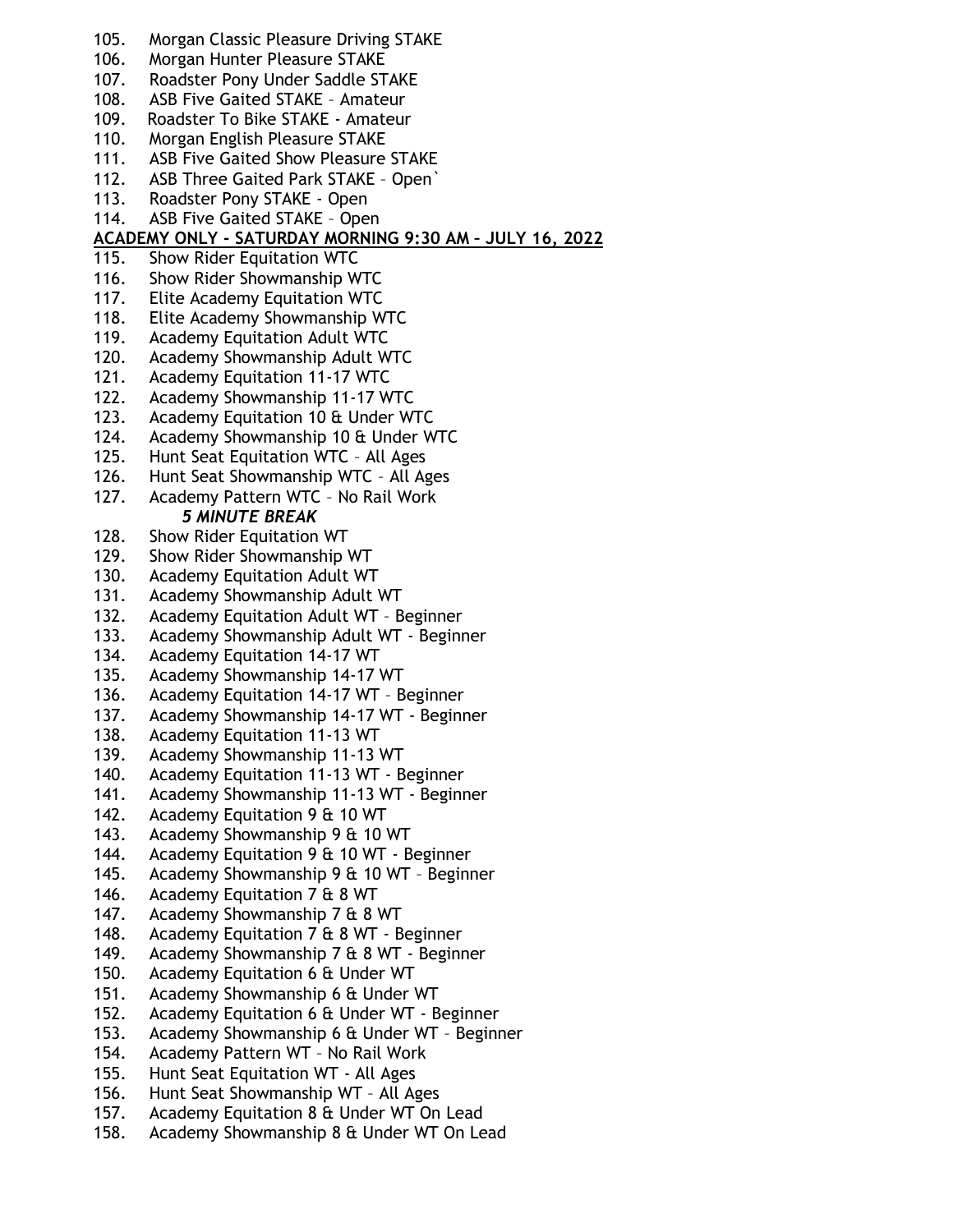- 105. Morgan Classic Pleasure Driving STAKE
- 106. Morgan Hunter Pleasure STAKE
- 107. Roadster Pony Under Saddle STAKE
- 108. ASB Five Gaited STAKE Amateur
- 109. Roadster To Bike STAKE Amateur
- 110. Morgan English Pleasure STAKE
- 111. ASB Five Gaited Show Pleasure STAKE
- 112. ASB Three Gaited Park STAKE Open`
- 113. Roadster Pony STAKE Open
- 114. ASB Five Gaited STAKE Open

## **ACADEMY ONLY - SATURDAY MORNING 9:30 AM – JULY 16, 2022**

- 115. Show Rider Equitation WTC
- 116. Show Rider Showmanship WTC
- 117. Elite Academy Equitation WTC
- 118. Elite Academy Showmanship WTC
- 119. Academy Equitation Adult WTC
- 120. Academy Showmanship Adult WTC
- 121. Academy Equitation 11-17 WTC
- 122. Academy Showmanship 11-17 WTC
- 123. Academy Equitation 10 & Under WTC
- 124. Academy Showmanship 10 & Under WTC
- 125. Hunt Seat Equitation WTC All Ages
- 126. Hunt Seat Showmanship WTC All Ages
- 127. Academy Pattern WTC No Rail Work *5 MINUTE BREAK*
- 128. Show Rider Equitation WT
- 129. Show Rider Showmanship WT
- 130. Academy Equitation Adult WT
- 131. Academy Showmanship Adult WT
- 132. Academy Equitation Adult WT Beginner
- 133. Academy Showmanship Adult WT Beginner
- 134. Academy Equitation 14-17 WT
- 135. Academy Showmanship 14-17 WT
- 136. Academy Equitation 14-17 WT Beginner
- 137. Academy Showmanship 14-17 WT Beginner
- 138. Academy Equitation 11-13 WT<br>139. Academy Showmanship 11-13
- Academy Showmanship 11-13 WT
- 140. Academy Equitation 11-13 WT Beginner
- 141. Academy Showmanship 11-13 WT Beginner
- 142. Academy Equitation 9 & 10 WT
- 143. Academy Showmanship 9 & 10 WT
- 144. Academy Equitation 9 & 10 WT Beginner
- 145. Academy Showmanship 9 & 10 WT Beginner
- 146. Academy Equitation 7 & 8 WT
- 147. Academy Showmanship 7 & 8 WT
- 148. Academy Equitation 7 & 8 WT Beginner
- 149. Academy Showmanship 7 & 8 WT Beginner
- 150. Academy Equitation 6 & Under WT
- 151. Academy Showmanship 6 & Under WT
- 152. Academy Equitation 6 & Under WT Beginner
- 153. Academy Showmanship 6 & Under WT Beginner
- 154. Academy Pattern WT No Rail Work
- 155. Hunt Seat Equitation WT All Ages
- 156. Hunt Seat Showmanship WT All Ages
- 157. Academy Equitation 8 & Under WT On Lead
- 158. Academy Showmanship 8 & Under WT On Lead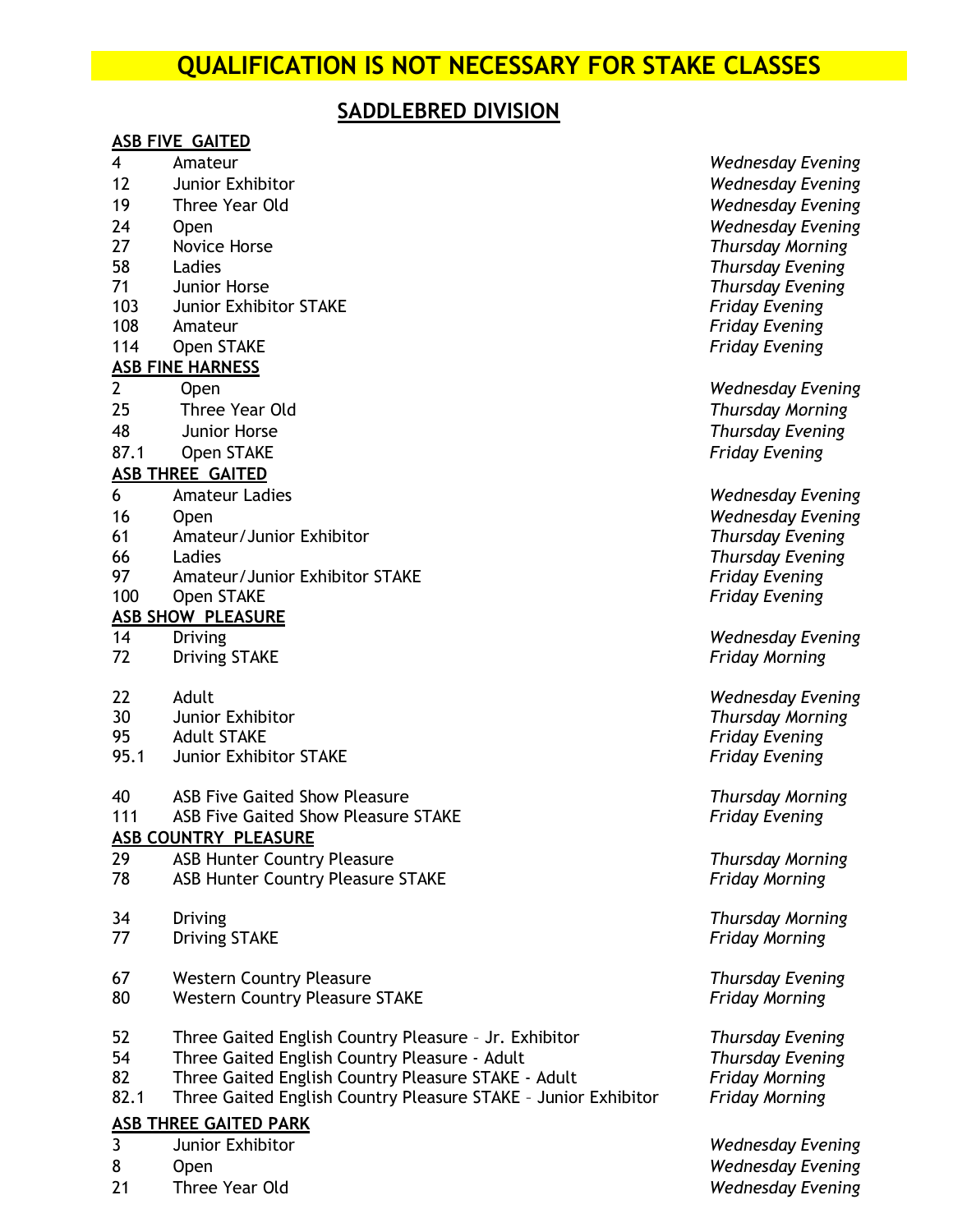## **QUALIFICATION IS NOT NECESSARY FOR STAKE CLASSES**

## **SADDLEBRED DIVISION**

#### **ASB FIVE GAITED**

- 
- Junior Exhibitor *Wednesday Evening*
- Three Year Old *Wednesday Evening*
- 
- 
- 
- Junior Horse *Thursday Evening*
- Junior Exhibitor STAKE *Friday Evening*
- Amateur *Friday Evening*
- Open STAKE *Friday Evening*

#### **ASB FINE HARNESS**

- 
- 25 Three Year Old *Thursday Morning*
- 48 Junior Horse *Thursday Evening*
- 87.1 Open STAKE *Friday Evening*

#### **ASB THREE GAITED**

- Amateur Ladies *Wednesday Evening*
- 
- Amateur/Junior Exhibitor *Thursday Evening*
- 
- 97 Amateur/Junior Exhibitor STAKE
- Open STAKE *Friday Evening*

#### **ASB SHOW PLEASURE**

- 
- Driving STAKE *Friday Morning*
- 
- Junior Exhibitor *Thursday Morning*
- Adult STAKE *Friday Evening*
- 95.1 Junior Exhibitor STAKE *Friday Evening*
- ASB Five Gaited Show Pleasure *Thursday Morning*

#### ASB Five Gaited Show Pleasure STAKE *Friday Evening*

#### **ASB COUNTRY PLEASURE**

- ASB Hunter Country Pleasure *Thursday Morning*
- ASB Hunter Country Pleasure STAKE *Friday Morning*
- 
- Driving STAKE *Friday Morning*
- Western Country Pleasure *Thursday Evening*
- Western Country Pleasure STAKE *Friday Morning*
- Three Gaited English Country Pleasure Jr. Exhibitor *Thursday Evening*
- Three Gaited English Country Pleasure Adult *Thursday Evening*
- Three Gaited English Country Pleasure STAKE Adult *Friday Morning*
- 82.1 Three Gaited English Country Pleasure STAKE Junior Exhibitor *Friday Morning*

#### **ASB THREE GAITED PARK**

- Junior Exhibitor *Wednesday Evening*
- 
- Three Year Old *Wednesday Evening*

 Amateur *Wednesday Evening* Open *Wednesday Evening* Novice Horse *Thursday Morning* Ladies *Thursday Evening*

2 Open *Wednesday Evening*

 Open *Wednesday Evening* Ladies *Thursday Evening*

Driving *Wednesday Evening*

Adult *Wednesday Evening*

Driving *Thursday Morning*

Open *Wednesday Evening*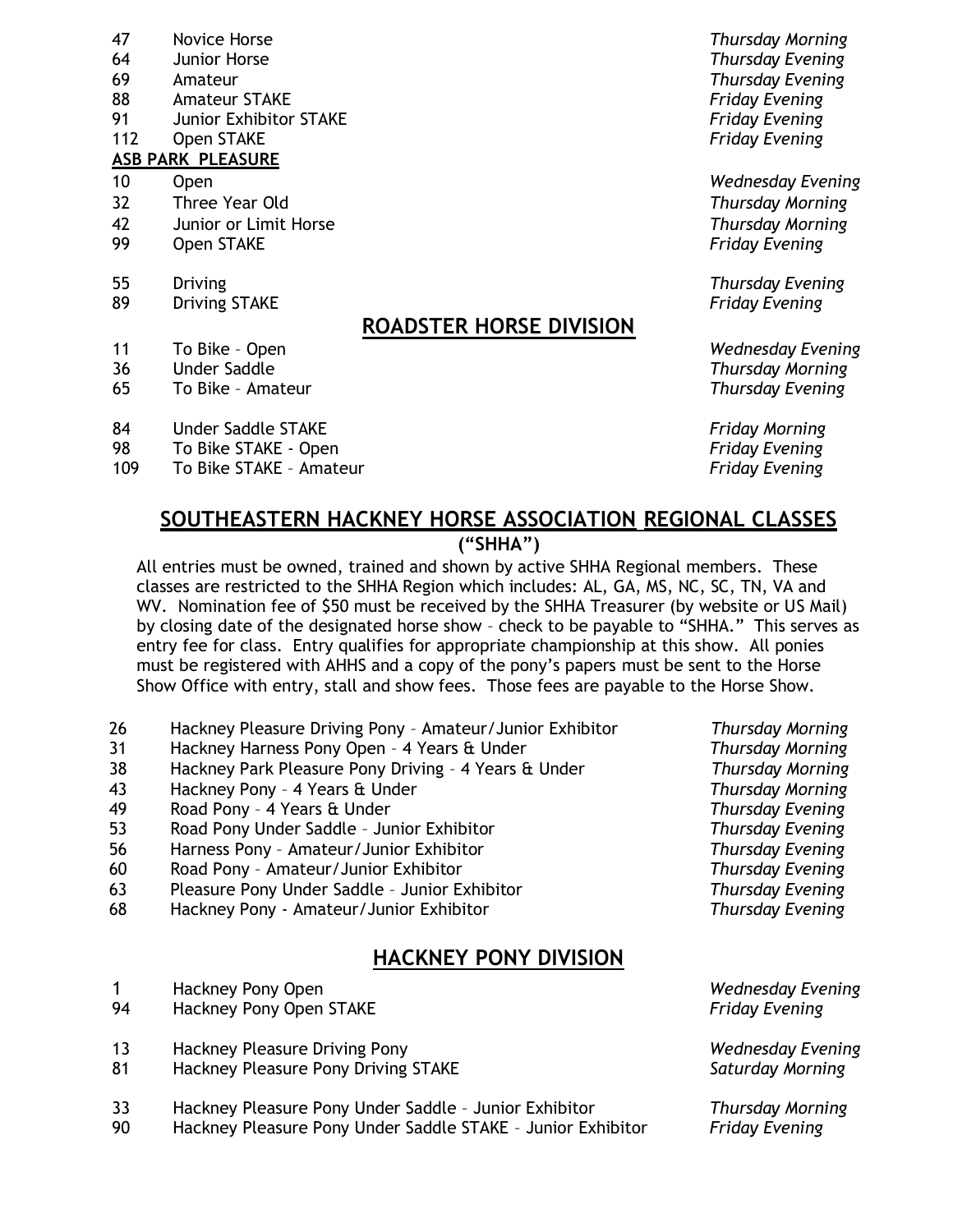- 47 Novice Horse *Thursday Morning*
- 64 Junior Horse *Thursday Evening*
- 
- 88 Amateur STAKE *Friday Evening*
- 91 Junior Exhibitor STAKE *Friday Evening*
- 112 Open STAKE *Friday Evening*

#### **ASB PARK PLEASURE**

- 
- 32 Three Year Old *Thursday Morning*
- 42 Junior or Limit Horse *Thursday Morning*
- 99 Open STAKE *Friday Evening*
- 
- 89 Driving STAKE *Friday Evening*

## **ROADSTER HORSE DIVISION**

- 
- 
- 65 To Bike Amateur *Thursday Evening*

#### 84 Under Saddle STAKE *Friday Morning*

- 98 To Bike STAKE Open *Friday Evening*
- 109 To Bike STAKE Amateur *Friday Evening*

69 Amateur *Thursday Evening*

10 Open *Wednesday Evening*

55 Driving *Thursday Evening*

11 To Bike – Open *Wednesday Evening* 36 Under Saddle *Thursday Morning*

#### **SOUTHEASTERN HACKNEY HORSE ASSOCIATION REGIONAL CLASSES ("SHHA")**

All entries must be owned, trained and shown by active SHHA Regional members. These classes are restricted to the SHHA Region which includes: AL, GA, MS, NC, SC, TN, VA and WV. Nomination fee of \$50 must be received by the SHHA Treasurer (by website or US Mail) by closing date of the designated horse show – check to be payable to "SHHA." This serves as entry fee for class. Entry qualifies for appropriate championship at this show. All ponies must be registered with AHHS and a copy of the pony's papers must be sent to the Horse Show Office with entry, stall and show fees. Those fees are payable to the Horse Show.

- 26 Hackney Pleasure Driving Pony Amateur/Junior Exhibitor *Thursday Morning*
- 31 Hackney Harness Pony Open 4 Years & Under *Thursday Morning*
- 38 Hackney Park Pleasure Pony Driving 4 Years & Under *Thursday Morning*
- 43 Hackney Pony 4 Years & Under *Thursday Morning*
- 49 Road Pony 4 Years & Under *Thursday Evening*
- 53 Road Pony Under Saddle Junior Exhibitor *Thursday Evening*
- 56 Harness Pony Amateur/Junior Exhibitor *Thursday Evening*
- 60 Road Pony Amateur/Junior Exhibitor *Thursday Evening*
- 63 Pleasure Pony Under Saddle Junior Exhibitor *Thursday Evening*
- 68 Hackney Pony Amateur/Junior Exhibitor *Thursday Evening*

### **HACKNEY PONY DIVISION**

- 1 Hackney Pony Open *Wednesday Evening*
- 94 Hackney Pony Open STAKE *Friday Evening*
- 13 Hackney Pleasure Driving Pony *Wednesday Evening*
- 81 Hackney Pleasure Pony Driving STAKE *Saturday Morning*
- 33 Hackney Pleasure Pony Under Saddle Junior Exhibitor *Thursday Morning*
- 90 Hackney Pleasure Pony Under Saddle STAKE Junior Exhibitor *Friday Evening*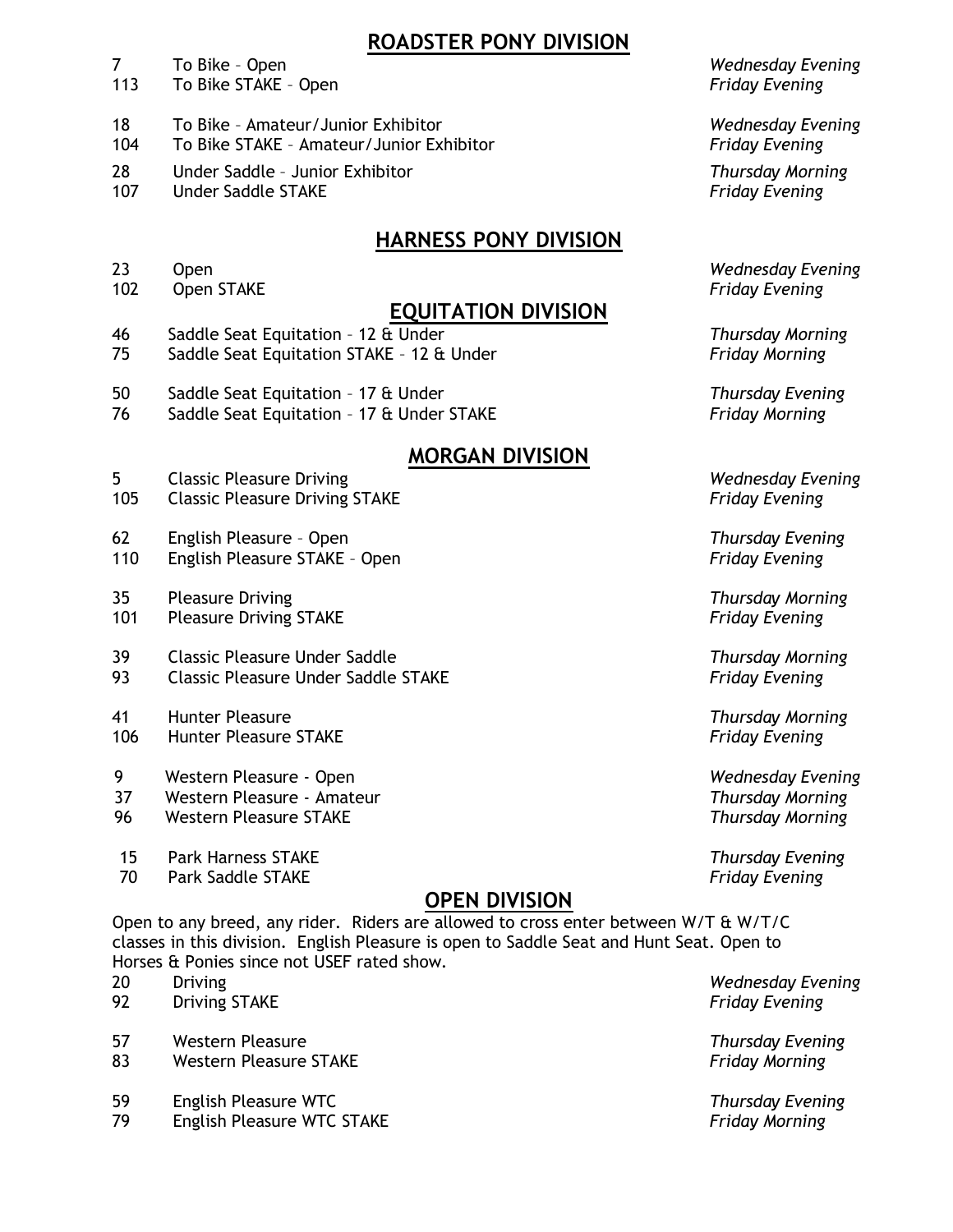## **ROADSTER PONY DIVISION**

- To Bike Open *Wednesday Evening*
- To Bike STAKE Open *Friday Evening*
- To Bike Amateur/Junior Exhibitor *Wednesday Evening*
- To Bike STAKE Amateur/Junior Exhibitor *Friday Evening*
- Under Saddle Junior Exhibitor *Thursday Morning*
- Under Saddle STAKE *Friday Evening*

## **HARNESS PONY DIVISION**

- 
- Open STAKE *Friday Evening*

## **EQUITATION DIVISION**

- Saddle Seat Equitation 12 & Under *Thursday Morning*
- Saddle Seat Equitation STAKE 12 & Under *Friday Morning*
- Saddle Seat Equitation 17 & Under *Thursday Evening*
- Saddle Seat Equitation 17 & Under STAKE *Friday Morning*

### **MORGAN DIVISION**

- Classic Pleasure Driving *Wednesday Evening*
- Classic Pleasure Driving STAKE *Friday Evening*

#### English Pleasure – Open *Thursday Evening*

- English Pleasure STAKE Open *Friday Evening*
- Pleasure Driving *Thursday Morning*
- Pleasure Driving STAKE *Friday Evening*
- Classic Pleasure Under Saddle *Thursday Morning* Classic Pleasure Under Saddle STAKE *Friday Evening*
- Hunter Pleasure *Thursday Morning*
- 9 Western Pleasure Open *Wednesday Evening*
- 37 Western Pleasure Amateur *Thursday Morning*
- 96 Western Pleasure STAKE *Thursday Morning*
- 15 Park Harness STAKE *Thursday Evening*
- 70 Park Saddle STAKE *Friday Evening*

## **OPEN DIVISION**

Open to any breed, any rider. Riders are allowed to cross enter between W/T & W/T/C classes in this division. English Pleasure is open to Saddle Seat and Hunt Seat. Open to Horses & Ponies since not USEF rated show.

- 
- Driving STAKE *Friday Evening*
- Western Pleasure *Thursday Evening*
- Western Pleasure STAKE *Friday Morning*
- 
- English Pleasure WTC STAKE *Friday Morning*

Open *Wednesday Evening*

Hunter Pleasure STAKE *Friday Evening*

Driving *Wednesday Evening*

English Pleasure WTC *Thursday Evening*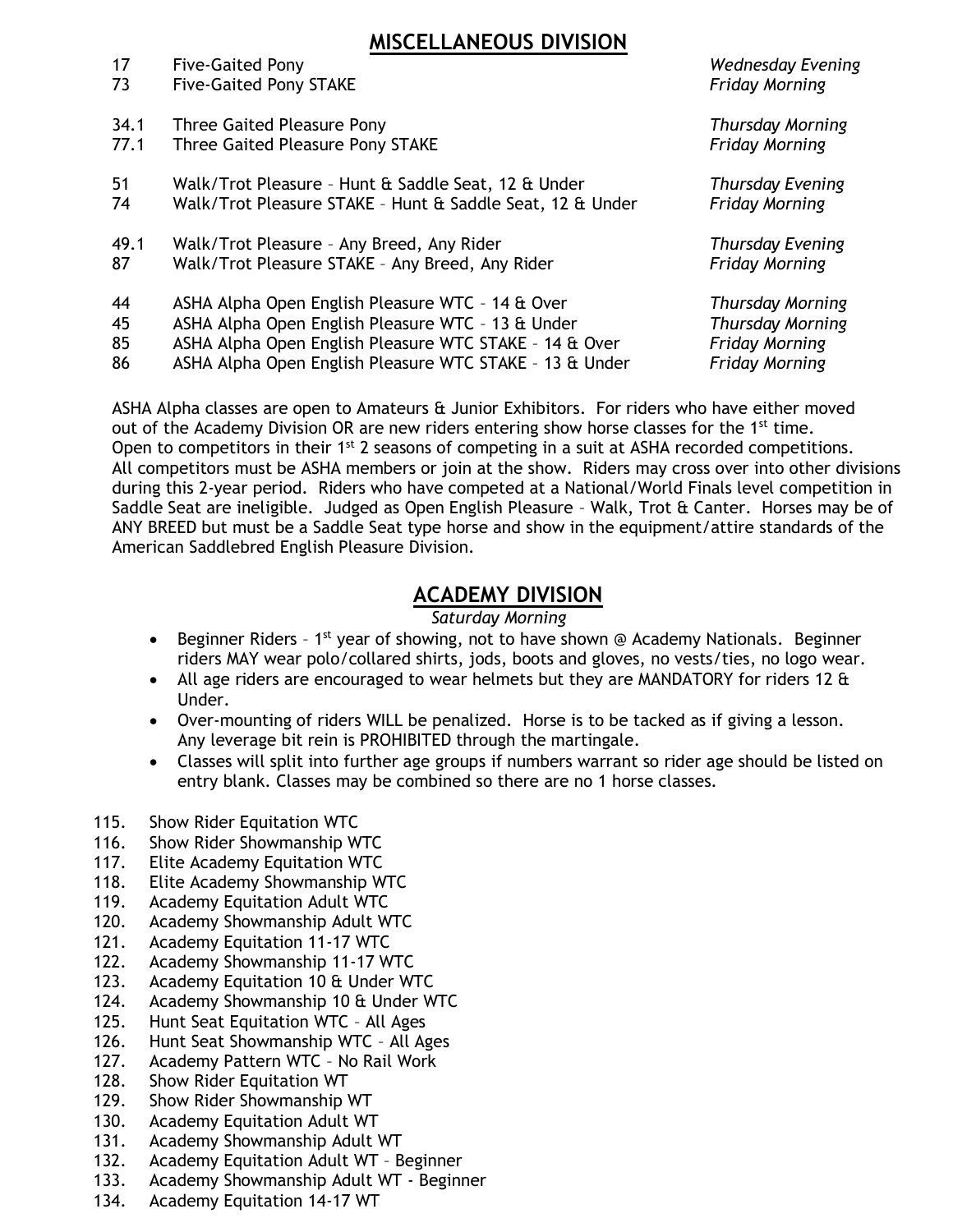## **MISCELLANEOUS DIVISION**

| 17   | <b>Five-Gaited Pony</b>                                   | <b>Wednesday Evening</b> |
|------|-----------------------------------------------------------|--------------------------|
| 73   | <b>Five-Gaited Pony STAKE</b>                             | <b>Friday Morning</b>    |
| 34.1 | Three Gaited Pleasure Pony                                | <b>Thursday Morning</b>  |
| 77.1 | Three Gaited Pleasure Pony STAKE                          | <b>Friday Morning</b>    |
| 51   | Walk/Trot Pleasure - Hunt & Saddle Seat, 12 & Under       | <b>Thursday Evening</b>  |
| 74   | Walk/Trot Pleasure STAKE - Hunt & Saddle Seat, 12 & Under | <b>Friday Morning</b>    |
| 49.1 | Walk/Trot Pleasure - Any Breed, Any Rider                 | <b>Thursday Evening</b>  |
| 87   | Walk/Trot Pleasure STAKE - Any Breed, Any Rider           | <b>Friday Morning</b>    |
| 44   | ASHA Alpha Open English Pleasure WTC - 14 & Over          | <b>Thursday Morning</b>  |
| 45   | ASHA Alpha Open English Pleasure WTC - 13 & Under         | <b>Thursday Morning</b>  |
| 85   | ASHA Alpha Open English Pleasure WTC STAKE - 14 & Over    | <b>Friday Morning</b>    |
| 86   | ASHA Alpha Open English Pleasure WTC STAKE - 13 & Under   | <b>Friday Morning</b>    |

ASHA Alpha classes are open to Amateurs & Junior Exhibitors. For riders who have either moved out of the Academy Division OR are new riders entering show horse classes for the 1<sup>st</sup> time. Open to competitors in their 1<sup>st</sup> 2 seasons of competing in a suit at ASHA recorded competitions. All competitors must be ASHA members or join at the show. Riders may cross over into other divisions during this 2-year period. Riders who have competed at a National/World Finals level competition in Saddle Seat are ineligible. Judged as Open English Pleasure – Walk, Trot & Canter. Horses may be of ANY BREED but must be a Saddle Seat type horse and show in the equipment/attire standards of the American Saddlebred English Pleasure Division.

## **ACADEMY DIVISION**

#### *Saturday Morning*

- Beginner Riders 1<sup>st</sup> year of showing, not to have shown @ Academy Nationals. Beginner riders MAY wear polo/collared shirts, jods, boots and gloves, no vests/ties, no logo wear.
- All age riders are encouraged to wear helmets but they are MANDATORY for riders 12 & Under.
- Over-mounting of riders WILL be penalized. Horse is to be tacked as if giving a lesson. Any leverage bit rein is PROHIBITED through the martingale.
- Classes will split into further age groups if numbers warrant so rider age should be listed on entry blank. Classes may be combined so there are no 1 horse classes.
- 115. Show Rider Equitation WTC
- 116. Show Rider Showmanship WTC
- 117. Elite Academy Equitation WTC
- 118. Elite Academy Showmanship WTC
- 119. Academy Equitation Adult WTC
- 120. Academy Showmanship Adult WTC
- 121. Academy Equitation 11-17 WTC
- 122. Academy Showmanship 11-17 WTC
- 123. Academy Equitation 10 & Under WTC
- 124. Academy Showmanship 10 & Under WTC
- 125. Hunt Seat Equitation WTC All Ages
- 126. Hunt Seat Showmanship WTC All Ages
- 127. Academy Pattern WTC No Rail Work
- 128. Show Rider Equitation WT
- 129. Show Rider Showmanship WT
- 130. Academy Equitation Adult WT
- 131. Academy Showmanship Adult WT
- 132. Academy Equitation Adult WT Beginner
- 133. Academy Showmanship Adult WT Beginner
- 134. Academy Equitation 14-17 WT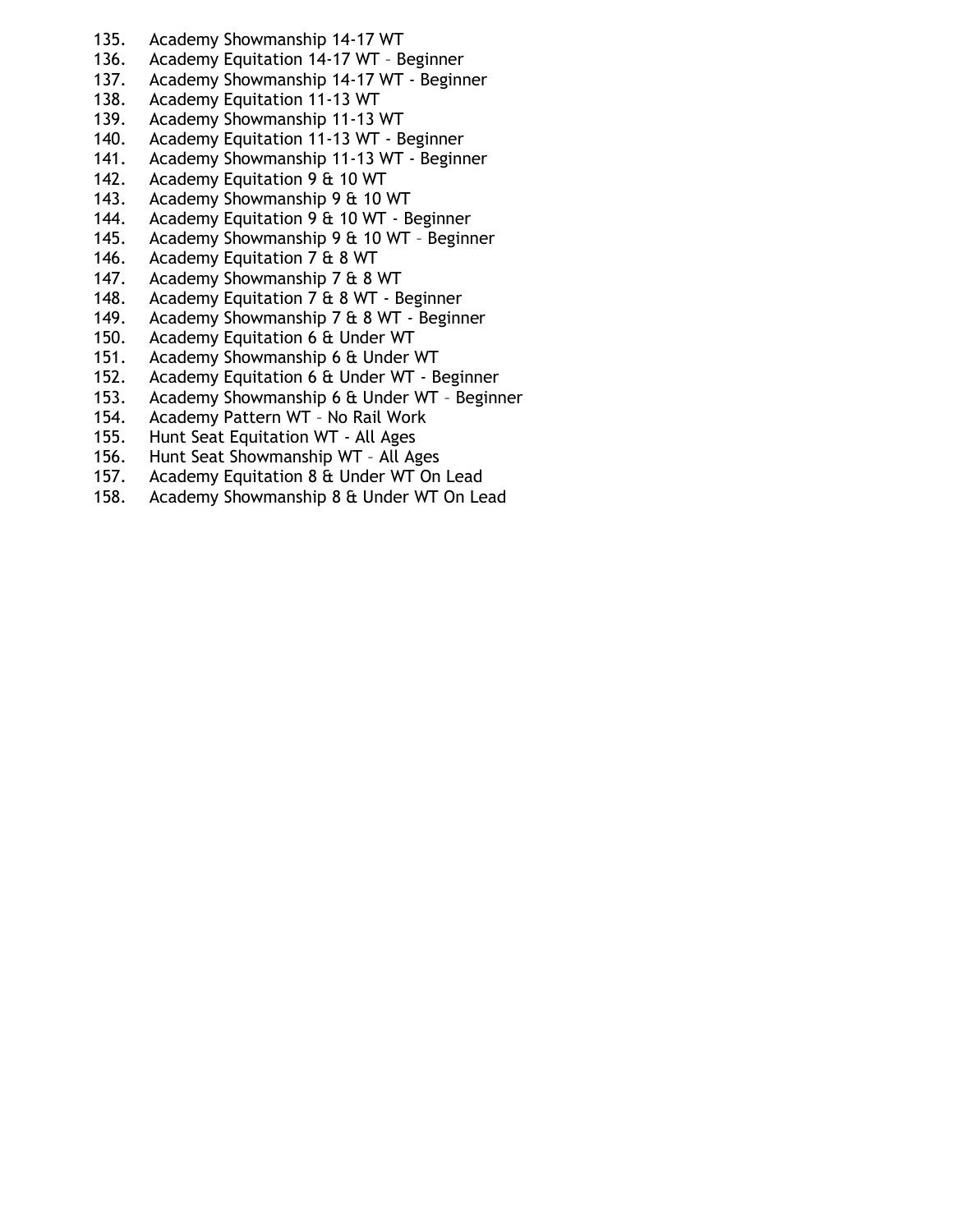- 135. Academy Showmanship 14-17 WT
- 136. Academy Equitation 14-17 WT Beginner
- 137. Academy Showmanship 14-17 WT Beginner
- 138. Academy Equitation 11-13 WT
- 139. Academy Showmanship 11-13 WT
- 140. Academy Equitation 11-13 WT Beginner
- 141. Academy Showmanship 11-13 WT Beginner
- 142. Academy Equitation 9 & 10 WT
- 143. Academy Showmanship 9 & 10 WT
- 144. Academy Equitation 9 & 10 WT Beginner
- 145. Academy Showmanship 9 & 10 WT Beginner
- 146. Academy Equitation 7 & 8 WT
- 147. Academy Showmanship 7 & 8 WT
- 148. Academy Equitation 7 & 8 WT Beginner
- 149. Academy Showmanship 7 & 8 WT Beginner
- 150. Academy Equitation 6 & Under WT
- 151. Academy Showmanship 6 & Under WT
- 152. Academy Equitation 6 & Under WT Beginner
- 153. Academy Showmanship 6 & Under WT Beginner
- 154. Academy Pattern WT No Rail Work
- 155. Hunt Seat Equitation WT All Ages
- 156. Hunt Seat Showmanship WT All Ages
- 157. Academy Equitation 8 & Under WT On Lead
- 158. Academy Showmanship 8 & Under WT On Lead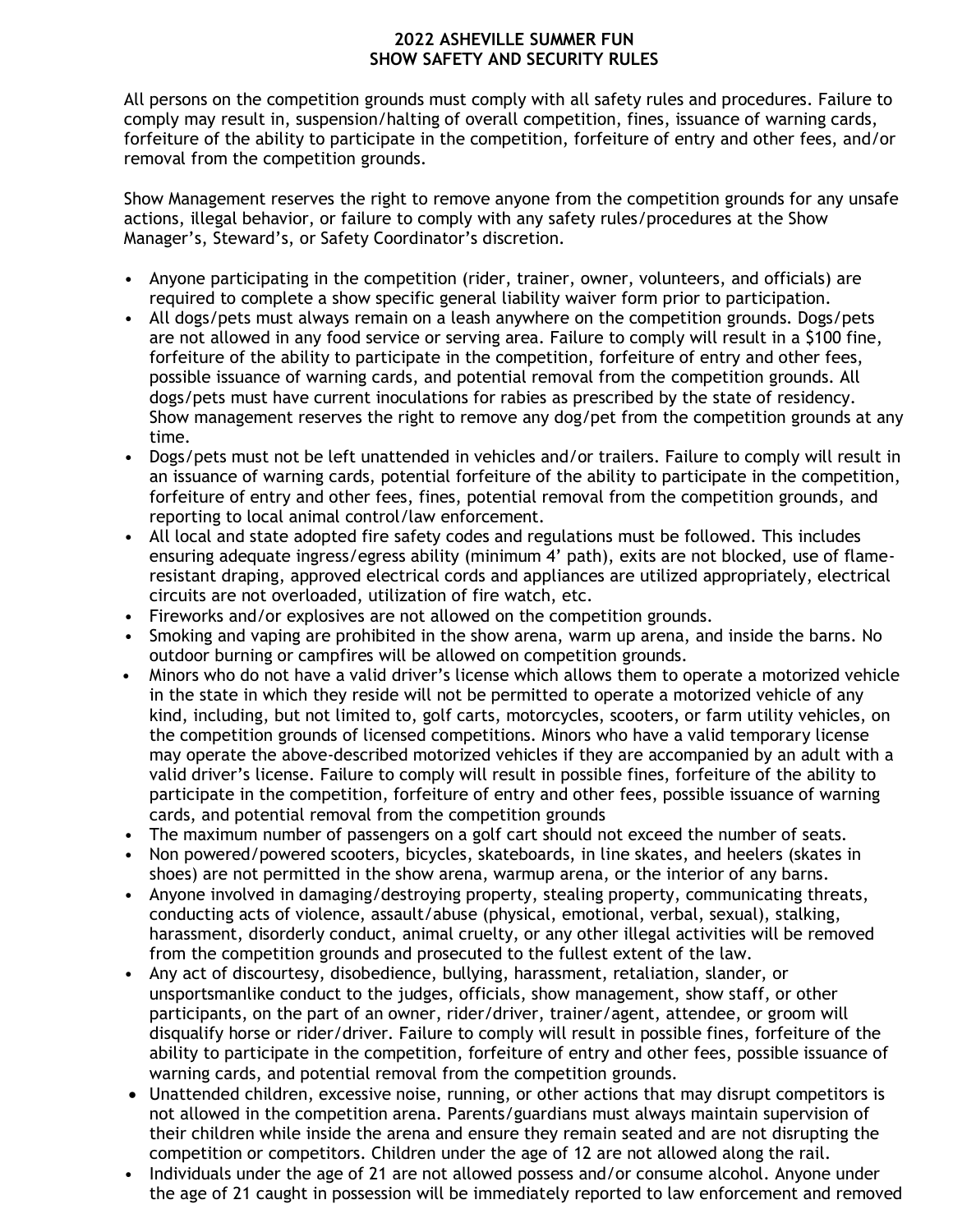#### **2022 ASHEVILLE SUMMER FUN SHOW SAFETY AND SECURITY RULES**

All persons on the competition grounds must comply with all safety rules and procedures. Failure to comply may result in, suspension/halting of overall competition, fines, issuance of warning cards, forfeiture of the ability to participate in the competition, forfeiture of entry and other fees, and/or removal from the competition grounds.

Show Management reserves the right to remove anyone from the competition grounds for any unsafe actions, illegal behavior, or failure to comply with any safety rules/procedures at the Show Manager's, Steward's, or Safety Coordinator's discretion.

- Anyone participating in the competition (rider, trainer, owner, volunteers, and officials) are required to complete a show specific general liability waiver form prior to participation.
- All dogs/pets must always remain on a leash anywhere on the competition grounds. Dogs/pets are not allowed in any food service or serving area. Failure to comply will result in a \$100 fine, forfeiture of the ability to participate in the competition, forfeiture of entry and other fees, possible issuance of warning cards, and potential removal from the competition grounds. All dogs/pets must have current inoculations for rabies as prescribed by the state of residency. Show management reserves the right to remove any dog/pet from the competition grounds at any time.
- Dogs/pets must not be left unattended in vehicles and/or trailers. Failure to comply will result in an issuance of warning cards, potential forfeiture of the ability to participate in the competition, forfeiture of entry and other fees, fines, potential removal from the competition grounds, and reporting to local animal control/law enforcement.
- All local and state adopted fire safety codes and regulations must be followed. This includes ensuring adequate ingress/egress ability (minimum 4' path), exits are not blocked, use of flameresistant draping, approved electrical cords and appliances are utilized appropriately, electrical circuits are not overloaded, utilization of fire watch, etc.
- Fireworks and/or explosives are not allowed on the competition grounds.
- Smoking and vaping are prohibited in the show arena, warm up arena, and inside the barns. No outdoor burning or campfires will be allowed on competition grounds.
- Minors who do not have a valid driver's license which allows them to operate a motorized vehicle in the state in which they reside will not be permitted to operate a motorized vehicle of any kind, including, but not limited to, golf carts, motorcycles, scooters, or farm utility vehicles, on the competition grounds of licensed competitions. Minors who have a valid temporary license may operate the above-described motorized vehicles if they are accompanied by an adult with a valid driver's license. Failure to comply will result in possible fines, forfeiture of the ability to participate in the competition, forfeiture of entry and other fees, possible issuance of warning cards, and potential removal from the competition grounds
- The maximum number of passengers on a golf cart should not exceed the number of seats.
- Non powered/powered scooters, bicycles, skateboards, in line skates, and heelers (skates in shoes) are not permitted in the show arena, warmup arena, or the interior of any barns.
- Anyone involved in damaging/destroying property, stealing property, communicating threats, conducting acts of violence, assault/abuse (physical, emotional, verbal, sexual), stalking, harassment, disorderly conduct, animal cruelty, or any other illegal activities will be removed from the competition grounds and prosecuted to the fullest extent of the law.
- Any act of discourtesy, disobedience, bullying, harassment, retaliation, slander, or unsportsmanlike conduct to the judges, officials, show management, show staff, or other participants, on the part of an owner, rider/driver, trainer/agent, attendee, or groom will disqualify horse or rider/driver. Failure to comply will result in possible fines, forfeiture of the ability to participate in the competition, forfeiture of entry and other fees, possible issuance of warning cards, and potential removal from the competition grounds.
- Unattended children, excessive noise, running, or other actions that may disrupt competitors is not allowed in the competition arena. Parents/guardians must always maintain supervision of their children while inside the arena and ensure they remain seated and are not disrupting the competition or competitors. Children under the age of 12 are not allowed along the rail.
- Individuals under the age of 21 are not allowed possess and/or consume alcohol. Anyone under the age of 21 caught in possession will be immediately reported to law enforcement and removed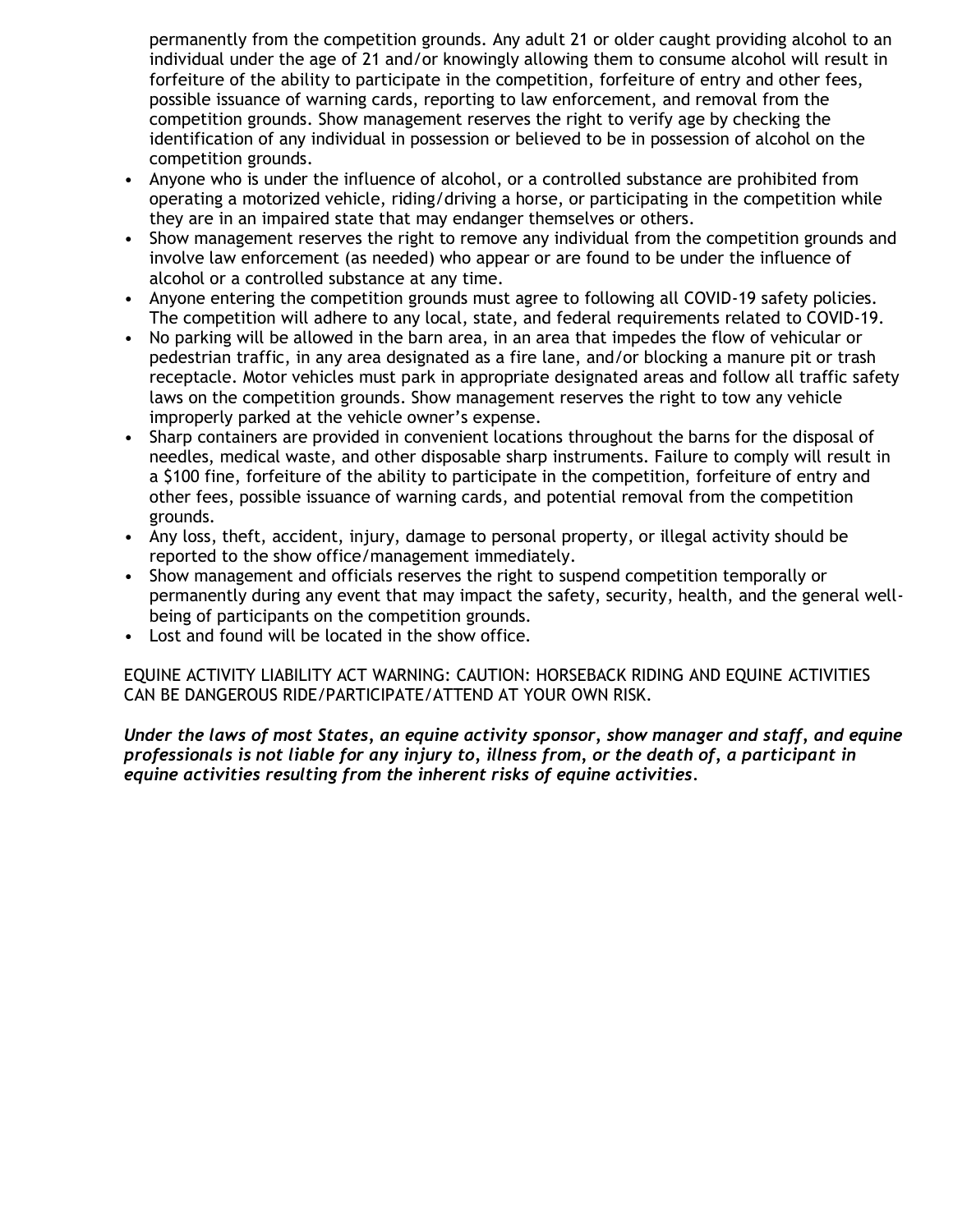permanently from the competition grounds. Any adult 21 or older caught providing alcohol to an individual under the age of 21 and/or knowingly allowing them to consume alcohol will result in forfeiture of the ability to participate in the competition, forfeiture of entry and other fees, possible issuance of warning cards, reporting to law enforcement, and removal from the competition grounds. Show management reserves the right to verify age by checking the identification of any individual in possession or believed to be in possession of alcohol on the competition grounds.

- Anyone who is under the influence of alcohol, or a controlled substance are prohibited from operating a motorized vehicle, riding/driving a horse, or participating in the competition while they are in an impaired state that may endanger themselves or others.
- Show management reserves the right to remove any individual from the competition grounds and involve law enforcement (as needed) who appear or are found to be under the influence of alcohol or a controlled substance at any time.
- Anyone entering the competition grounds must agree to following all COVID-19 safety policies. The competition will adhere to any local, state, and federal requirements related to COVID-19.
- No parking will be allowed in the barn area, in an area that impedes the flow of vehicular or pedestrian traffic, in any area designated as a fire lane, and/or blocking a manure pit or trash receptacle. Motor vehicles must park in appropriate designated areas and follow all traffic safety laws on the competition grounds. Show management reserves the right to tow any vehicle improperly parked at the vehicle owner's expense.
- Sharp containers are provided in convenient locations throughout the barns for the disposal of needles, medical waste, and other disposable sharp instruments. Failure to comply will result in a \$100 fine, forfeiture of the ability to participate in the competition, forfeiture of entry and other fees, possible issuance of warning cards, and potential removal from the competition grounds.
- Any loss, theft, accident, injury, damage to personal property, or illegal activity should be reported to the show office/management immediately.
- Show management and officials reserves the right to suspend competition temporally or permanently during any event that may impact the safety, security, health, and the general wellbeing of participants on the competition grounds.
- Lost and found will be located in the show office.

EQUINE ACTIVITY LIABILITY ACT WARNING: CAUTION: HORSEBACK RIDING AND EQUINE ACTIVITIES CAN BE DANGEROUS RIDE/PARTICIPATE/ATTEND AT YOUR OWN RISK.

*Under the laws of most States, an equine activity sponsor, show manager and staff, and equine professionals is not liable for any injury to, illness from, or the death of, a participant in equine activities resulting from the inherent risks of equine activities.*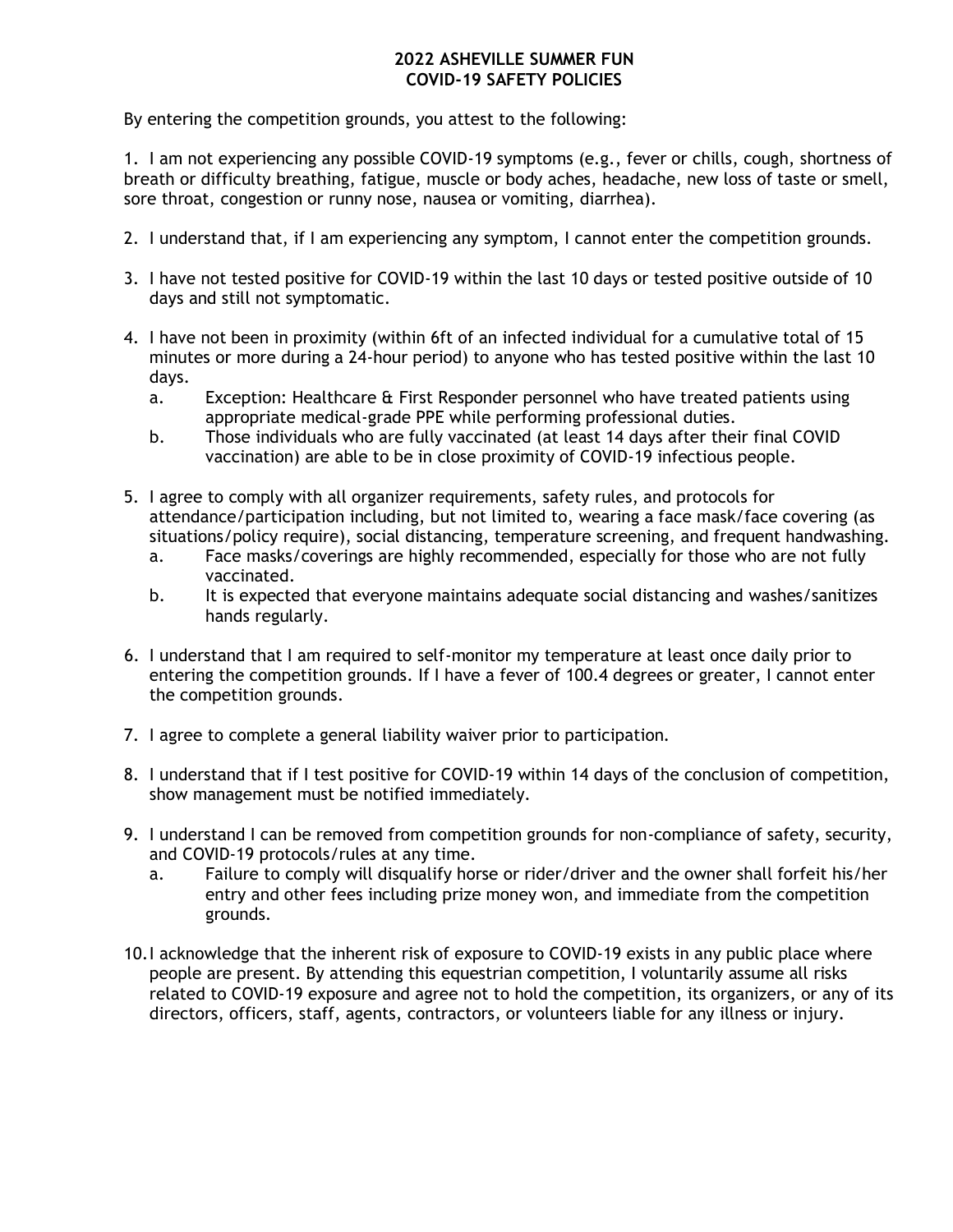#### **2022 ASHEVILLE SUMMER FUN COVID-19 SAFETY POLICIES**

By entering the competition grounds, you attest to the following:

1. I am not experiencing any possible COVID-19 symptoms (e.g., fever or chills, cough, shortness of breath or difficulty breathing, fatigue, muscle or body aches, headache, new loss of taste or smell, sore throat, congestion or runny nose, nausea or vomiting, diarrhea).

- 2. I understand that, if I am experiencing any symptom, I cannot enter the competition grounds.
- 3. I have not tested positive for COVID-19 within the last 10 days or tested positive outside of 10 days and still not symptomatic.
- 4. I have not been in proximity (within 6ft of an infected individual for a cumulative total of 15 minutes or more during a 24-hour period) to anyone who has tested positive within the last 10 days.
	- a. Exception: Healthcare & First Responder personnel who have treated patients using appropriate medical-grade PPE while performing professional duties.
	- b. Those individuals who are fully vaccinated (at least 14 days after their final COVID vaccination) are able to be in close proximity of COVID-19 infectious people.
- 5. I agree to comply with all organizer requirements, safety rules, and protocols for attendance/participation including, but not limited to, wearing a face mask/face covering (as situations/policy require), social distancing, temperature screening, and frequent handwashing.
	- a. Face masks/coverings are highly recommended, especially for those who are not fully vaccinated.
	- b. It is expected that everyone maintains adequate social distancing and washes/sanitizes hands regularly.
- 6. I understand that I am required to self-monitor my temperature at least once daily prior to entering the competition grounds. If I have a fever of 100.4 degrees or greater, I cannot enter the competition grounds.
- 7. I agree to complete a general liability waiver prior to participation.
- 8. I understand that if I test positive for COVID-19 within 14 days of the conclusion of competition, show management must be notified immediately.
- 9. I understand I can be removed from competition grounds for non-compliance of safety, security, and COVID-19 protocols/rules at any time.
	- a. Failure to comply will disqualify horse or rider/driver and the owner shall forfeit his/her entry and other fees including prize money won, and immediate from the competition grounds.
- 10.I acknowledge that the inherent risk of exposure to COVID-19 exists in any public place where people are present. By attending this equestrian competition, I voluntarily assume all risks related to COVID-19 exposure and agree not to hold the competition, its organizers, or any of its directors, officers, staff, agents, contractors, or volunteers liable for any illness or injury.